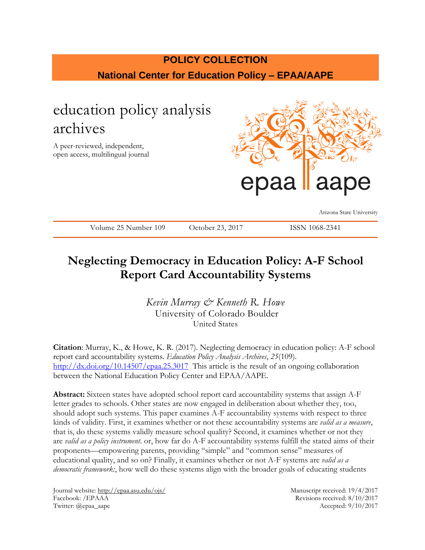# **POLICY COLLECTION National Center for Education Policy – EPAA/AAPE**

# education policy analysis archives

A peer-reviewed, independent, open access, multilingual journal



Arizona State University

Volume 25 Number 109 October 23, 2017 ISSN 1068-2341

# **Neglecting Democracy in Education Policy: A-F School Report Card Accountability Systems**

*Kevin Murray & Kenneth R. Howe* University of Colorado Boulder United States

**Citation**: Murray, K., & Howe, K. R. (2017). Neglecting democracy in education policy: A-F school report card accountability systems. *Education Policy Analysis Archives*, *25*(109). <http://dx.doi.org/10.14507/epaa.25.3017> This article is the result of an ongoing collaboration between the National Education Policy Center and EPAA/AAPE.

**Abstract:** Sixteen states have adopted school report card accountability systems that assign A-F letter grades to schools. Other states are now engaged in deliberation about whether they, too, should adopt such systems. This paper examines A-F accountability systems with respect to three kinds of validity. First, it examines whether or not these accountability systems are *valid as a measure*, that is, do these systems validly measure school quality? Second, it examines whether or not they are *valid as a policy instrument*. or, how far do A-F accountability systems fulfill the stated aims of their proponents—empowering parents, providing "simple" and "common sense" measures of educational quality, and so on? Finally, it examines whether or not A-F systems are *valid as a democratic framework:*, how well do these systems align with the broader goals of educating students

Journal website:<http://epaa.asu.edu/ojs/> Manuscript received: 19/4/2017 Facebook: /EPAAA Revisions received: 8/10/2017 Twitter: @epaa\_aape Accepted: 9/10/2017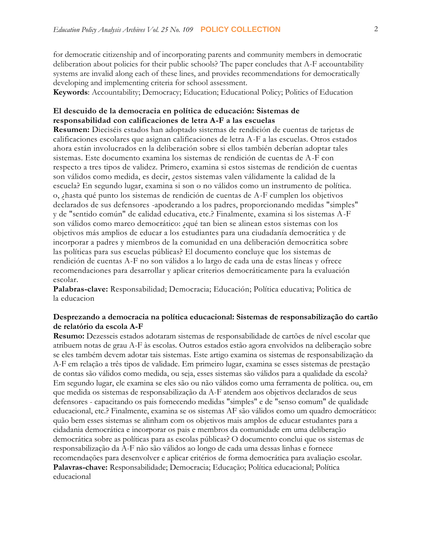for democratic citizenship and of incorporating parents and community members in democratic deliberation about policies for their public schools? The paper concludes that A-F accountability systems are invalid along each of these lines, and provides recommendations for democratically developing and implementing criteria for school assessment.

**Keywords**: Accountability; Democracy; Education; Educational Policy; Politics of Education

## **El descuido de la democracia en política de educación: Sistemas de responsabilidad con calificaciones de letra A-F a las escuelas**

**Resumen:** Dieciséis estados han adoptado sistemas de rendición de cuentas de tarjetas de calificaciones escolares que asignan calificaciones de letra A-F a las escuelas. Otros estados ahora están involucrados en la deliberación sobre si ellos también deberían adoptar tales sistemas. Este documento examina los sistemas de rendición de cuentas de A-F con respecto a tres tipos de validez. Primero, examina si estos sistemas de rendición de cuentas son válidos como medida, es decir, ¿estos sistemas valen válidamente la calidad de la escuela? En segundo lugar, examina si son o no válidos como un instrumento de política. o, ¿hasta qué punto los sistemas de rendición de cuentas de A-F cumplen los objetivos declarados de sus defensores -apoderando a los padres, proporcionando medidas "simples" y de "sentido común" de calidad educativa, etc.? Finalmente, examina si los sistemas A-F son válidos como marco democrático: ¿qué tan bien se alinean estos sistemas con los objetivos más amplios de educar a los estudiantes para una ciudadanía democrática y de incorporar a padres y miembros de la comunidad en una deliberación democrática sobre las políticas para sus escuelas públicas? El documento concluye que los sistemas de rendición de cuentas A-F no son válidos a lo largo de cada una de estas líneas y ofrece recomendaciones para desarrollar y aplicar criterios democráticamente para la evaluación escolar.

**Palabras-clave:** Responsabilidad; Democracia; Educación; Política educativa; Politica de la educacion

## **Desprezando a democracia na política educacional: Sistemas de responsabilização do cartão de relatório da escola A-F**

**Resumo:** Dezesseis estados adotaram sistemas de responsabilidade de cartões de nível escolar que atribuem notas de grau A-F às escolas. Outros estados estão agora envolvidos na deliberação sobre se eles também devem adotar tais sistemas. Este artigo examina os sistemas de responsabilização da A-F em relação a três tipos de validade. Em primeiro lugar, examina se esses sistemas de prestação de contas são válidos como medida, ou seja, esses sistemas são válidos para a qualidade da escola? Em segundo lugar, ele examina se eles são ou não válidos como uma ferramenta de política. ou, em que medida os sistemas de responsabilização da A-F atendem aos objetivos declarados de seus defensores - capacitando os pais fornecendo medidas "simples" e de "senso comum" de qualidade educacional, etc.? Finalmente, examina se os sistemas AF são válidos como um quadro democrático: quão bem esses sistemas se alinham com os objetivos mais amplos de educar estudantes para a cidadania democrática e incorporar os pais e membros da comunidade em uma deliberação democrática sobre as políticas para as escolas públicas? O documento conclui que os sistemas de responsabilização da A-F não são válidos ao longo de cada uma dessas linhas e fornece recomendações para desenvolver e aplicar critérios de forma democrática para avaliação escolar. **Palavras-chave:** Responsabilidade; Democracia; Educação; Política educacional; Política educacional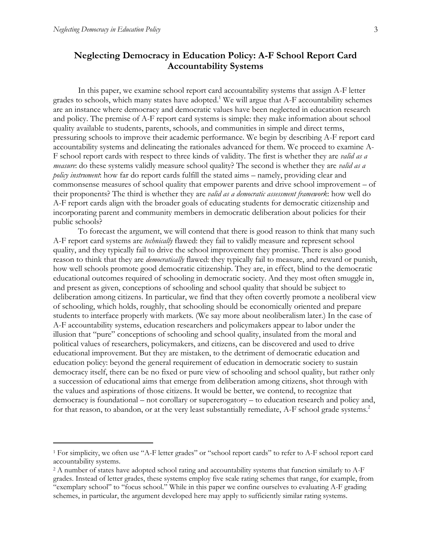# **Neglecting Democracy in Education Policy: A-F School Report Card Accountability Systems**

In this paper, we examine school report card accountability systems that assign A-F letter grades to schools, which many states have adopted.<sup>1</sup> We will argue that  $A$ -F accountability schemes are an instance where democracy and democratic values have been neglected in education research and policy. The premise of A-F report card systems is simple: they make information about school quality available to students, parents, schools, and communities in simple and direct terms, pressuring schools to improve their academic performance. We begin by describing A-F report card accountability systems and delineating the rationales advanced for them. We proceed to examine A-F school report cards with respect to three kinds of validity. The first is whether they are *valid as a measure*: do these systems validly measure school quality? The second is whether they are *valid as a policy instrument*: how far do report cards fulfill the stated aims – namely, providing clear and commonsense measures of school quality that empower parents and drive school improvement – of their proponents? The third is whether they are *valid as a democratic assessment framework*: how well do A-F report cards align with the broader goals of educating students for democratic citizenship and incorporating parent and community members in democratic deliberation about policies for their public schools?

To forecast the argument, we will contend that there is good reason to think that many such A-F report card systems are *technically* flawed: they fail to validly measure and represent school quality, and they typically fail to drive the school improvement they promise. There is also good reason to think that they are *democratically* flawed: they typically fail to measure, and reward or punish, how well schools promote good democratic citizenship. They are, in effect, blind to the democratic educational outcomes required of schooling in democratic society. And they most often smuggle in, and present as given, conceptions of schooling and school quality that should be subject to deliberation among citizens. In particular, we find that they often covertly promote a neoliberal view of schooling, which holds, roughly, that schooling should be economically oriented and prepare students to interface properly with markets. (We say more about neoliberalism later.) In the case of A-F accountability systems, education researchers and policymakers appear to labor under the illusion that "pure" conceptions of schooling and school quality, insulated from the moral and political values of researchers, policymakers, and citizens, can be discovered and used to drive educational improvement. But they are mistaken, to the detriment of democratic education and education policy: beyond the general requirement of education in democratic society to sustain democracy itself, there can be no fixed or pure view of schooling and school quality, but rather only a succession of educational aims that emerge from deliberation among citizens, shot through with the values and aspirations of those citizens. It would be better, we contend, to recognize that democracy is foundational – not corollary or supererogatory – to education research and policy and, for that reason, to abandon, or at the very least substantially remediate, A-F school grade systems.<sup>2</sup>

<sup>1</sup> For simplicity, we often use "A-F letter grades" or "school report cards" to refer to A-F school report card accountability systems.

<sup>&</sup>lt;sup>2</sup> A number of states have adopted school rating and accountability systems that function similarly to A-F grades. Instead of letter grades, these systems employ five scale rating schemes that range, for example, from "exemplary school" to "focus school." While in this paper we confine ourselves to evaluating A-F grading schemes, in particular, the argument developed here may apply to sufficiently similar rating systems.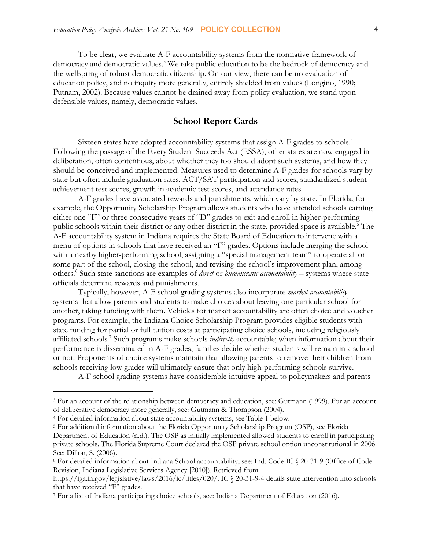To be clear, we evaluate A-F accountability systems from the normative framework of democracy and democratic values.<sup>3</sup> We take public education to be the bedrock of democracy and the wellspring of robust democratic citizenship. On our view, there can be no evaluation of education policy, and no inquiry more generally, entirely shielded from values (Longino, 1990; Putnam, 2002). Because values cannot be drained away from policy evaluation, we stand upon defensible values, namely, democratic values.

### **School Report Cards**

Sixteen states have adopted accountability systems that assign A-F grades to schools.<sup>4</sup> Following the passage of the Every Student Succeeds Act (ESSA), other states are now engaged in deliberation, often contentious, about whether they too should adopt such systems, and how they should be conceived and implemented. Measures used to determine A-F grades for schools vary by state but often include graduation rates, ACT/SAT participation and scores, standardized student achievement test scores, growth in academic test scores, and attendance rates.

A-F grades have associated rewards and punishments, which vary by state. In Florida, for example, the Opportunity Scholarship Program allows students who have attended schools earning either one "F" or three consecutive years of "D" grades to exit and enroll in higher-performing public schools within their district or any other district in the state, provided space is available.<sup>5</sup> The A-F accountability system in Indiana requires the State Board of Education to intervene with a menu of options in schools that have received an "F" grades. Options include merging the school with a nearby higher-performing school, assigning a "special management team" to operate all or some part of the school, closing the school, and revising the school's improvement plan, among others.<sup>6</sup> Such state sanctions are examples of *direct* or *bureaucratic accountability* – systems where state officials determine rewards and punishments.

Typically, however, A-F school grading systems also incorporate *market accountability* – systems that allow parents and students to make choices about leaving one particular school for another, taking funding with them. Vehicles for market accountability are often choice and voucher programs. For example, the Indiana Choice Scholarship Program provides eligible students with state funding for partial or full tuition costs at participating choice schools, including religiously affiliated schools.<sup>7</sup> Such programs make schools *indirectly* accountable; when information about their performance is disseminated in A-F grades, families decide whether students will remain in a school or not. Proponents of choice systems maintain that allowing parents to remove their children from schools receiving low grades will ultimately ensure that only high-performing schools survive.

A-F school grading systems have considerable intuitive appeal to policymakers and parents

<sup>3</sup> For an account of the relationship between democracy and education, see: Gutmann (1999). For an account of deliberative democracy more generally, see: Gutmann & Thompson (2004).

<sup>4</sup> For detailed information about state accountability systems, see Table 1 below.

<sup>5</sup> For additional information about the Florida Opportunity Scholarship Program (OSP), see Florida

Department of Education (n.d.). The OSP as initially implemented allowed students to enroll in participating private schools. The Florida Supreme Court declared the OSP private school option unconstitutional in 2006. See: Dillon, S. (2006).

<sup>6</sup> For detailed information about Indiana School accountability, see: Ind. Code IC § 20-31-9 (Office of Code Revision, Indiana Legislative Services Agency [2010]). Retrieved from

https://iga.in.gov/legislative/laws/2016/ic/titles/020/. IC § 20-31-9-4 details state intervention into schools that have received "F" grades.

<sup>7</sup> For a list of Indiana participating choice schools, see: Indiana Department of Education (2016).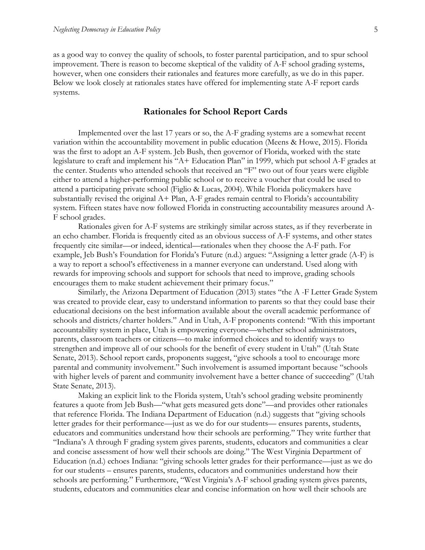as a good way to convey the quality of schools, to foster parental participation, and to spur school improvement. There is reason to become skeptical of the validity of A-F school grading systems, however, when one considers their rationales and features more carefully, as we do in this paper. Below we look closely at rationales states have offered for implementing state A-F report cards systems.

#### **Rationales for School Report Cards**

Implemented over the last 17 years or so, the A-F grading systems are a somewhat recent variation within the accountability movement in public education (Meens & Howe, 2015). Florida was the first to adopt an A-F system. Jeb Bush, then governor of Florida, worked with the state legislature to craft and implement his "A+ Education Plan" in 1999, which put school A-F grades at the center. Students who attended schools that received an "F" two out of four years were eligible either to attend a higher-performing public school or to receive a voucher that could be used to attend a participating private school (Figlio & Lucas, 2004). While Florida policymakers have substantially revised the original  $A+$  Plan,  $A-F$  grades remain central to Florida's accountability system. Fifteen states have now followed Florida in constructing accountability measures around A-F school grades.

Rationales given for A-F systems are strikingly similar across states, as if they reverberate in an echo chamber. Florida is frequently cited as an obvious success of A-F systems, and other states frequently cite similar—or indeed, identical—rationales when they choose the A-F path. For example, Jeb Bush's Foundation for Florida's Future (n.d.) argues: "Assigning a letter grade (A-F) is a way to report a school's effectiveness in a manner everyone can understand. Used along with rewards for improving schools and support for schools that need to improve, grading schools encourages them to make student achievement their primary focus."

Similarly, the Arizona Department of Education (2013) states "the A -F Letter Grade System was created to provide clear, easy to understand information to parents so that they could base their educational decisions on the best information available about the overall academic performance of schools and districts/charter holders." And in Utah, A-F proponents contend: "With this important accountability system in place, Utah is empowering everyone—whether school administrators, parents, classroom teachers or citizens—to make informed choices and to identify ways to strengthen and improve all of our schools for the benefit of every student in Utah" (Utah State Senate, 2013). School report cards, proponents suggest, "give schools a tool to encourage more parental and community involvement." Such involvement is assumed important because "schools with higher levels of parent and community involvement have a better chance of succeeding" (Utah State Senate, 2013).

Making an explicit link to the Florida system, Utah's school grading website prominently features a quote from Jeb Bush—"what gets measured gets done"—and provides other rationales that reference Florida. The Indiana Department of Education (n.d.) suggests that "giving schools letter grades for their performance—just as we do for our students— ensures parents, students, educators and communities understand how their schools are performing." They write further that "Indiana's A through F grading system gives parents, students, educators and communities a clear and concise assessment of how well their schools are doing." The West Virginia Department of Education (n.d.) echoes Indiana: "giving schools letter grades for their performance—just as we do for our students – ensures parents, students, educators and communities understand how their schools are performing." Furthermore, "West Virginia's A-F school grading system gives parents, students, educators and communities clear and concise information on how well their schools are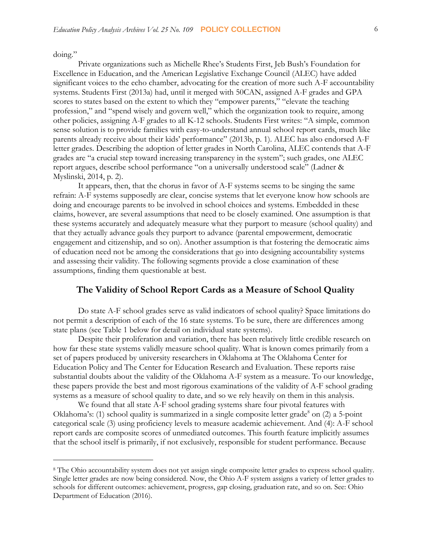doing."

Private organizations such as Michelle Rhee's Students First, Jeb Bush's Foundation for Excellence in Education, and the American Legislative Exchange Council (ALEC) have added significant voices to the echo chamber, advocating for the creation of more such A-F accountability systems. Students First (2013a) had, until it merged with 50CAN, assigned A-F grades and GPA scores to states based on the extent to which they "empower parents," "elevate the teaching profession," and "spend wisely and govern well," which the organization took to require, among other policies, assigning A-F grades to all K-12 schools. Students First writes: "A simple, common sense solution is to provide families with easy-to-understand annual school report cards, much like parents already receive about their kids' performance" (2013b, p. 1). ALEC has also endorsed A-F letter grades. Describing the adoption of letter grades in North Carolina, ALEC contends that A-F grades are "a crucial step toward increasing transparency in the system"; such grades, one ALEC report argues, describe school performance "on a universally understood scale" (Ladner & Myslinski, 2014, p. 2).

It appears, then, that the chorus in favor of A-F systems seems to be singing the same refrain: A-F systems supposedly are clear, concise systems that let everyone know how schools are doing and encourage parents to be involved in school choices and systems. Embedded in these claims, however, are several assumptions that need to be closely examined. One assumption is that these systems accurately and adequately measure what they purport to measure (school quality) and that they actually advance goals they purport to advance (parental empowerment, democratic engagement and citizenship, and so on). Another assumption is that fostering the democratic aims of education need not be among the considerations that go into designing accountability systems and assessing their validity. The following segments provide a close examination of these assumptions, finding them questionable at best.

## **The Validity of School Report Cards as a Measure of School Quality**

Do state A-F school grades serve as valid indicators of school quality? Space limitations do not permit a description of each of the 16 state systems. To be sure, there are differences among state plans (see Table 1 below for detail on individual state systems).

Despite their proliferation and variation, there has been relatively little credible research on how far these state systems validly measure school quality. What is known comes primarily from a set of papers produced by university researchers in Oklahoma at The Oklahoma Center for Education Policy and The Center for Education Research and Evaluation. These reports raise substantial doubts about the validity of the Oklahoma A-F system as a measure. To our knowledge, these papers provide the best and most rigorous examinations of the validity of A-F school grading systems as a measure of school quality to date, and so we rely heavily on them in this analysis.

We found that all state A-F school grading systems share four pivotal features with Oklahoma's: (1) school quality is summarized in a single composite letter grade<sup>8</sup> on (2) a 5-point categorical scale (3) using proficiency levels to measure academic achievement. And (4): A-F school report cards are composite scores of unmediated outcomes. This fourth feature implicitly assumes that the school itself is primarily, if not exclusively, responsible for student performance. Because

<sup>8</sup> The Ohio accountability system does not yet assign single composite letter grades to express school quality. Single letter grades are now being considered. Now, the Ohio A-F system assigns a variety of letter grades to schools for different outcomes: achievement, progress, gap closing, graduation rate, and so on. See: Ohio Department of Education (2016).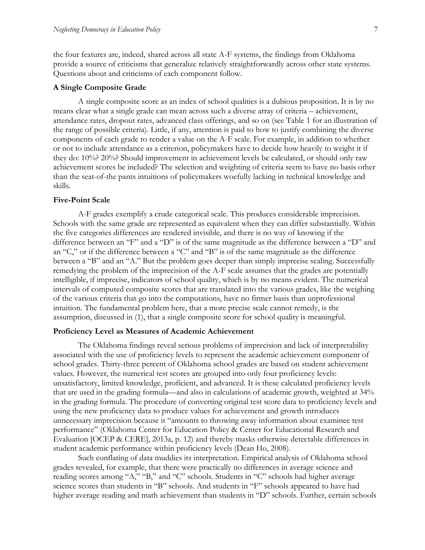the four features are, indeed, shared across all state A-F systems, the findings from Oklahoma provide a source of criticisms that generalize relatively straightforwardly across other state systems. Questions about and criticisms of each component follow.

#### **A Single Composite Grade**

A single composite score as an index of school qualities is a dubious proposition. It is by no means clear what a single grade can mean across such a diverse array of criteria – achievement, attendance rates, dropout rates, advanced class offerings, and so on (see Table 1 for an illustration of the range of possible criteria). Little, if any, attention is paid to how to justify combining the diverse components of each grade to render a value on the A-F scale. For example, in addition to whether or not to include attendance as a criterion, policymakers have to decide how heavily to weight it if they do: 10%? 20%? Should improvement in achievement levels be calculated, or should only raw achievement scores be included? The selection and weighting of criteria seem to have no basis other than the seat-of-the pants intuitions of policymakers woefully lacking in technical knowledge and skills.

#### **Five-Point Scale**

A-F grades exemplify a crude categorical scale. This produces considerable imprecision. Schools with the same grade are represented as equivalent when they can differ substantially. Within the five categories differences are rendered invisible, and there is no way of knowing if the difference between an "F" and a "D" is of the same magnitude as the difference between a "D" and an "C," or if the difference between a "C" and "B" is of the same magnitude as the difference between a "B" and an "A." But the problem goes deeper than simply imprecise scaling. Successfully remedying the problem of the imprecision of the A-F scale assumes that the grades are potentially intelligible, if imprecise, indicators of school quality, which is by no means evident. The numerical intervals of computed composite scores that are translated into the various grades, like the weighing of the various criteria that go into the computations, have no firmer basis than unprofessional intuition. The fundamental problem here, that a more precise scale cannot remedy, is the assumption, discussed in (1), that a single composite score for school quality is meaningful.

#### **Proficiency Level as Measures of Academic Achievement**

The Oklahoma findings reveal serious problems of imprecision and lack of interpretability associated with the use of proficiency levels to represent the academic achievement component of school grades. Thirty-three percent of Oklahoma school grades are based on student achievement values. However, the numerical test scores are grouped into only four proficiency levels: unsatisfactory, limited knowledge, proficient, and advanced. It is these calculated proficiency levels that are used in the grading formula—and also in calculations of academic growth, weighted at 34% in the grading formula. The procedure of converting original test score data to proficiency levels and using the new proficiency data to produce values for achievement and growth introduces unnecessary imprecision because it "amounts to throwing away information about examinee test performance" (Oklahoma Center for Education Policy & Center for Educational Research and Evaluation [OCEP & CERE], 2013a, p. 12) and thereby masks otherwise detectable differences in student academic performance within proficiency levels (Dean Ho, 2008).

Such conflating of data muddies its interpretation. Empirical analysis of Oklahoma school grades revealed, for example, that there were practically no differences in average science and reading scores among "A," "B," and "C" schools. Students in "C" schools had higher average science scores than students in "B" schools. And students in "F" schools appeared to have had higher average reading and math achievement than students in "D" schools. Further, certain schools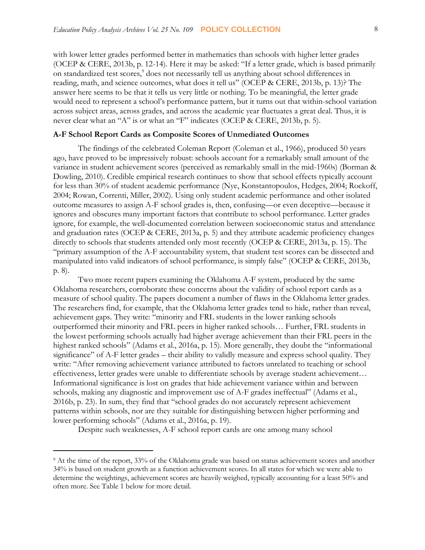with lower letter grades performed better in mathematics than schools with higher letter grades (OCEP & CERE, 2013b, p. 12-14). Here it may be asked: "If a letter grade, which is based primarily on standardized test scores,<sup>9</sup> does not necessarily tell us anything about school differences in reading, math, and science outcomes, what does it tell us" (OCEP & CERE, 2013b, p. 13)? The answer here seems to be that it tells us very little or nothing. To be meaningful, the letter grade would need to represent a school's performance pattern, but it turns out that within-school variation across subject areas, across grades, and across the academic year fluctuates a great deal. Thus, it is never clear what an "A" is or what an "F" indicates (OCEP & CERE, 2013b, p. 5).

#### **A-F School Report Cards as Composite Scores of Unmediated Outcomes**

The findings of the celebrated Coleman Report (Coleman et al., 1966), produced 50 years ago, have proved to be impressively robust: schools account for a remarkably small amount of the variance in student achievement scores (perceived as remarkably small in the mid-1960s) (Borman & Dowling, 2010). Credible empirical research continues to show that school effects typically account for less than 30% of student academic performance (Nye, Konstantopoulos, Hedges, 2004; Rockoff, 2004; Rowan, Correnti, Miller, 2002). Using only student academic performance and other isolated outcome measures to assign A-F school grades is, then, confusing—or even deceptive—because it ignores and obscures many important factors that contribute to school performance. Letter grades ignore, for example, the well-documented correlation between socioeconomic status and attendance and graduation rates (OCEP & CERE, 2013a, p. 5) and they attribute academic proficiency changes directly to schools that students attended only most recently (OCEP & CERE, 2013a, p. 15). The "primary assumption of the A-F accountability system, that student test scores can be dissected and manipulated into valid indicators of school performance, is simply false" (OCEP & CERE, 2013b, p. 8).

Two more recent papers examining the Oklahoma A-F system, produced by the same Oklahoma researchers, corroborate these concerns about the validity of school report cards as a measure of school quality. The papers document a number of flaws in the Oklahoma letter grades. The researchers find, for example, that the Oklahoma letter grades tend to hide, rather than reveal, achievement gaps. They write: "minority and FRL students in the lower ranking schools outperformed their minority and FRL peers in higher ranked schools… Further, FRL students in the lowest performing schools actually had higher average achievement than their FRL peers in the highest ranked schools" (Adams et al., 2016a, p. 15). More generally, they doubt the "informational significance" of A-F letter grades – their ability to validly measure and express school quality. They write: "After removing achievement variance attributed to factors unrelated to teaching or school effectiveness, letter grades were unable to differentiate schools by average student achievement… Informational significance is lost on grades that hide achievement variance within and between schools, making any diagnostic and improvement use of A-F grades ineffectual" (Adams et al., 2016b, p. 23). In sum, they find that "school grades do not accurately represent achievement patterns within schools, nor are they suitable for distinguishing between higher performing and lower performing schools" (Adams et al., 2016a, p. 19).

Despite such weaknesses, A-F school report cards are one among many school

<sup>9</sup> At the time of the report, 33% of the Oklahoma grade was based on status achievement scores and another 34% is based on student growth as a function achievement scores. In all states for which we were able to determine the weightings, achievement scores are heavily weighed, typically accounting for a least 50% and often more. See Table 1 below for more detail.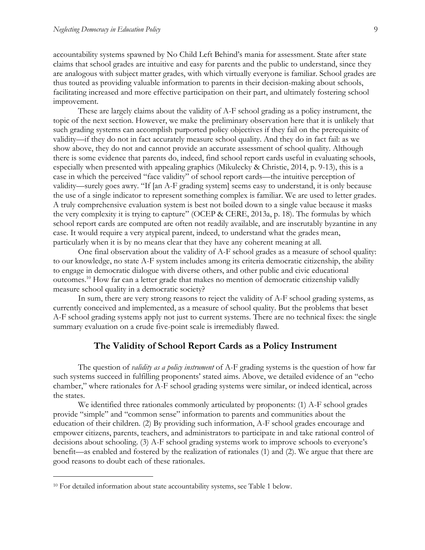accountability systems spawned by No Child Left Behind's mania for assessment. State after state claims that school grades are intuitive and easy for parents and the public to understand, since they are analogous with subject matter grades, with which virtually everyone is familiar. School grades are thus touted as providing valuable information to parents in their decision-making about schools, facilitating increased and more effective participation on their part, and ultimately fostering school improvement.

These are largely claims about the validity of A-F school grading as a policy instrument, the topic of the next section. However, we make the preliminary observation here that it is unlikely that such grading systems can accomplish purported policy objectives if they fail on the prerequisite of validity—if they do not in fact accurately measure school quality. And they do in fact fail: as we show above, they do not and cannot provide an accurate assessment of school quality. Although there is some evidence that parents do, indeed, find school report cards useful in evaluating schools, especially when presented with appealing graphics (Mikulecky & Christie, 2014, p. 9-13), this is a case in which the perceived "face validity" of school report cards—the intuitive perception of validity—surely goes awry. "If [an A-F grading system] seems easy to understand, it is only because the use of a single indicator to represent something complex is familiar. We are used to letter grades. A truly comprehensive evaluation system is best not boiled down to a single value because it masks the very complexity it is trying to capture" (OCEP & CERE, 2013a, p. 18). The formulas by which school report cards are computed are often not readily available, and are inscrutably byzantine in any case. It would require a very atypical parent, indeed, to understand what the grades mean, particularly when it is by no means clear that they have any coherent meaning at all.

One final observation about the validity of A-F school grades as a measure of school quality: to our knowledge, no state A-F system includes among its criteria democratic citizenship, the ability to engage in democratic dialogue with diverse others, and other public and civic educational outcomes.<sup>10</sup> How far can a letter grade that makes no mention of democratic citizenship validly measure school quality in a democratic society?

In sum, there are very strong reasons to reject the validity of A-F school grading systems, as currently conceived and implemented, as a measure of school quality. But the problems that beset A-F school grading systems apply not just to current systems. There are no technical fixes: the single summary evaluation on a crude five-point scale is irremediably flawed.

### **The Validity of School Report Cards as a Policy Instrument**

The question of *validity as a policy instrument* of A-F grading systems is the question of how far such systems succeed in fulfilling proponents' stated aims. Above, we detailed evidence of an "echo chamber," where rationales for A-F school grading systems were similar, or indeed identical, across the states.

We identified three rationales commonly articulated by proponents: (1) A-F school grades provide "simple" and "common sense" information to parents and communities about the education of their children. (2) By providing such information, A-F school grades encourage and empower citizens, parents, teachers, and administrators to participate in and take rational control of decisions about schooling. (3) A-F school grading systems work to improve schools to everyone's benefit—as enabled and fostered by the realization of rationales (1) and (2). We argue that there are good reasons to doubt each of these rationales.

<sup>10</sup> For detailed information about state accountability systems, see Table 1 below.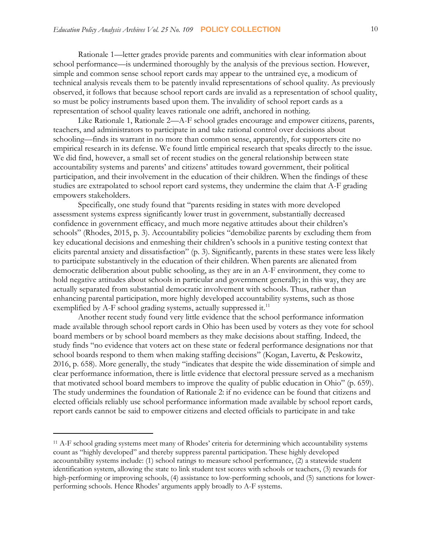Rationale 1—letter grades provide parents and communities with clear information about school performance—is undermined thoroughly by the analysis of the previous section. However, simple and common sense school report cards may appear to the untrained eye, a modicum of technical analysis reveals them to be patently invalid representations of school quality. As previously observed, it follows that because school report cards are invalid as a representation of school quality, so must be policy instruments based upon them. The invalidity of school report cards as a representation of school quality leaves rationale one adrift, anchored in nothing.

Like Rationale 1, Rationale 2—A-F school grades encourage and empower citizens, parents, teachers, and administrators to participate in and take rational control over decisions about schooling—finds its warrant in no more than common sense, apparently, for supporters cite no empirical research in its defense. We found little empirical research that speaks directly to the issue. We did find, however, a small set of recent studies on the general relationship between state accountability systems and parents' and citizens' attitudes toward government, their political participation, and their involvement in the education of their children. When the findings of these studies are extrapolated to school report card systems, they undermine the claim that A-F grading empowers stakeholders.

Specifically, one study found that "parents residing in states with more developed assessment systems express significantly lower trust in government, substantially decreased confidence in government efficacy, and much more negative attitudes about their children's schools" (Rhodes, 2015, p. 3). Accountability policies "demobilize parents by excluding them from key educational decisions and enmeshing their children's schools in a punitive testing context that elicits parental anxiety and dissatisfaction" (p. 3). Significantly, parents in these states were less likely to participate substantively in the education of their children. When parents are alienated from democratic deliberation about public schooling, as they are in an A-F environment, they come to hold negative attitudes about schools in particular and government generally; in this way, they are actually separated from substantial democratic involvement with schools. Thus, rather than enhancing parental participation, more highly developed accountability systems, such as those exemplified by A-F school grading systems, actually suppressed it.<sup>11</sup>

Another recent study found very little evidence that the school performance information made available through school report cards in Ohio has been used by voters as they vote for school board members or by school board members as they make decisions about staffing. Indeed, the study finds "no evidence that voters act on these state or federal performance designations nor that school boards respond to them when making staffing decisions" (Kogan, Lavertu, & Peskowitz, 2016, p. 658). More generally, the study "indicates that despite the wide dissemination of simple and clear performance information, there is little evidence that electoral pressure served as a mechanism that motivated school board members to improve the quality of public education in Ohio" (p. 659). The study undermines the foundation of Rationale 2: if no evidence can be found that citizens and elected officials reliably use school performance information made available by school report cards, report cards cannot be said to empower citizens and elected officials to participate in and take

<sup>11</sup> A-F school grading systems meet many of Rhodes' criteria for determining which accountability systems count as "highly developed" and thereby suppress parental participation. These highly developed accountability systems include: (1) school ratings to measure school performance, (2) a statewide student identification system, allowing the state to link student test scores with schools or teachers, (3) rewards for high-performing or improving schools, (4) assistance to low-performing schools, and (5) sanctions for lowerperforming schools. Hence Rhodes' arguments apply broadly to A-F systems.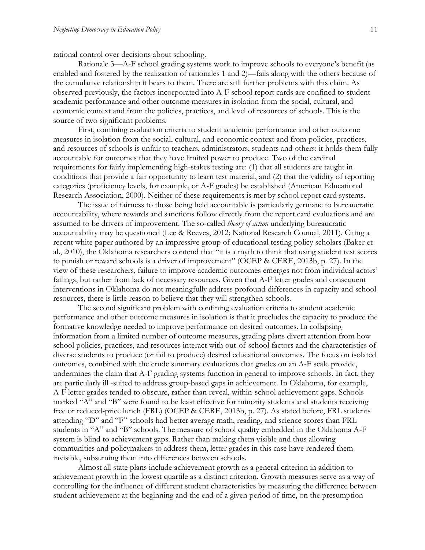rational control over decisions about schooling.

Rationale 3—A-F school grading systems work to improve schools to everyone's benefit (as enabled and fostered by the realization of rationales 1 and 2)—fails along with the others because of the cumulative relationship it bears to them. There are still further problems with this claim. As observed previously, the factors incorporated into A-F school report cards are confined to student academic performance and other outcome measures in isolation from the social, cultural, and economic context and from the policies, practices, and level of resources of schools. This is the source of two significant problems.

First, confining evaluation criteria to student academic performance and other outcome measures in isolation from the social, cultural, and economic context and from policies, practices, and resources of schools is unfair to teachers, administrators, students and others: it holds them fully accountable for outcomes that they have limited power to produce. Two of the cardinal requirements for fairly implementing high-stakes testing are: (1) that all students are taught in conditions that provide a fair opportunity to learn test material, and (2) that the validity of reporting categories (proficiency levels, for example, or A-F grades) be established (American Educational Research Association, 2000). Neither of these requirements is met by school report card systems.

The issue of fairness to those being held accountable is particularly germane to bureaucratic accountability, where rewards and sanctions follow directly from the report card evaluations and are assumed to be drivers of improvement. The so-called *theory of action* underlying bureaucratic accountability may be questioned (Lee & Reeves, 2012; National Research Council, 2011). Citing a recent white paper authored by an impressive group of educational testing policy scholars (Baker et al., 2010), the Oklahoma researchers contend that "it is a myth to think that using student test scores to punish or reward schools is a driver of improvement" (OCEP & CERE, 2013b, p. 27). In the view of these researchers, failure to improve academic outcomes emerges not from individual actors' failings, but rather from lack of necessary resources. Given that A-F letter grades and consequent interventions in Oklahoma do not meaningfully address profound differences in capacity and school resources, there is little reason to believe that they will strengthen schools.

The second significant problem with confining evaluation criteria to student academic performance and other outcome measures in isolation is that it precludes the capacity to produce the formative knowledge needed to improve performance on desired outcomes. In collapsing information from a limited number of outcome measures, grading plans divert attention from how school policies, practices, and resources interact with out-of-school factors and the characteristics of diverse students to produce (or fail to produce) desired educational outcomes. The focus on isolated outcomes, combined with the crude summary evaluations that grades on an A-F scale provide, undermines the claim that A-F grading systems function in general to improve schools. In fact, they are particularly ill -suited to address group-based gaps in achievement. In Oklahoma, for example, A-F letter grades tended to obscure, rather than reveal, within-school achievement gaps. Schools marked "A" and "B" were found to be least effective for minority students and students receiving free or reduced-price lunch (FRL) (OCEP & CERE, 2013b, p. 27). As stated before, FRL students attending "D" and "F" schools had better average math, reading, and science scores than FRL students in "A" and "B" schools. The measure of school quality embedded in the Oklahoma A-F system is blind to achievement gaps. Rather than making them visible and thus allowing communities and policymakers to address them, letter grades in this case have rendered them invisible, subsuming them into differences between schools.

Almost all state plans include achievement growth as a general criterion in addition to achievement growth in the lowest quartile as a distinct criterion. Growth measures serve as a way of controlling for the influence of different student characteristics by measuring the difference between student achievement at the beginning and the end of a given period of time, on the presumption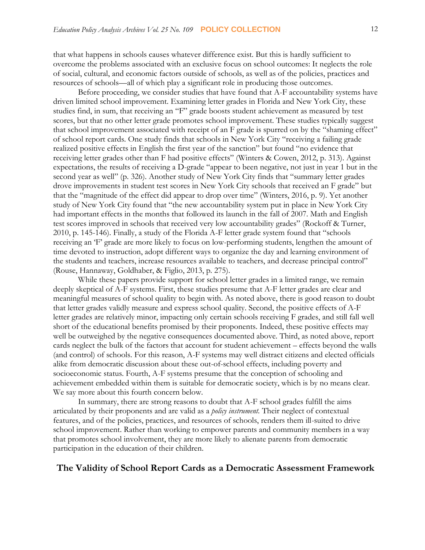that what happens in schools causes whatever difference exist. But this is hardly sufficient to overcome the problems associated with an exclusive focus on school outcomes: It neglects the role of social, cultural, and economic factors outside of schools, as well as of the policies, practices and resources of schools—all of which play a significant role in producing those outcomes.

Before proceeding, we consider studies that have found that A-F accountability systems have driven limited school improvement. Examining letter grades in Florida and New York City, these studies find, in sum, that receiving an "F" grade boosts student achievement as measured by test scores, but that no other letter grade promotes school improvement. These studies typically suggest that school improvement associated with receipt of an F grade is spurred on by the "shaming effect" of school report cards. One study finds that schools in New York City "receiving a failing grade realized positive effects in English the first year of the sanction" but found "no evidence that receiving letter grades other than F had positive effects" (Winters & Cowen, 2012, p. 313). Against expectations, the results of receiving a D-grade "appear to been negative, not just in year 1 but in the second year as well" (p. 326). Another study of New York City finds that "summary letter grades drove improvements in student test scores in New York City schools that received an F grade" but that the "magnitude of the effect did appear to drop over time" (Winters, 2016, p. 9). Yet another study of New York City found that "the new accountability system put in place in New York City had important effects in the months that followed its launch in the fall of 2007. Math and English test scores improved in schools that received very low accountability grades" (Rockoff & Turner, 2010, p. 145-146). Finally, a study of the Florida A-F letter grade system found that "schools receiving an 'F' grade are more likely to focus on low-performing students, lengthen the amount of time devoted to instruction, adopt different ways to organize the day and learning environment of the students and teachers, increase resources available to teachers, and decrease principal control" (Rouse, Hannaway, Goldhaber, & Figlio, 2013, p. 275).

While these papers provide support for school letter grades in a limited range, we remain deeply skeptical of A-F systems. First, these studies presume that A-F letter grades are clear and meaningful measures of school quality to begin with. As noted above, there is good reason to doubt that letter grades validly measure and express school quality. Second, the positive effects of A-F letter grades are relatively minor, impacting only certain schools receiving F grades, and still fall well short of the educational benefits promised by their proponents. Indeed, these positive effects may well be outweighed by the negative consequences documented above. Third, as noted above, report cards neglect the bulk of the factors that account for student achievement – effects beyond the walls (and control) of schools. For this reason, A-F systems may well distract citizens and elected officials alike from democratic discussion about these out-of-school effects, including poverty and socioeconomic status. Fourth, A-F systems presume that the conception of schooling and achievement embedded within them is suitable for democratic society, which is by no means clear. We say more about this fourth concern below.

In summary, there are strong reasons to doubt that A-F school grades fulfill the aims articulated by their proponents and are valid as a *policy instrument.* Their neglect of contextual features, and of the policies, practices, and resources of schools, renders them ill-suited to drive school improvement. Rather than working to empower parents and community members in a way that promotes school involvement, they are more likely to alienate parents from democratic participation in the education of their children.

## **The Validity of School Report Cards as a Democratic Assessment Framework**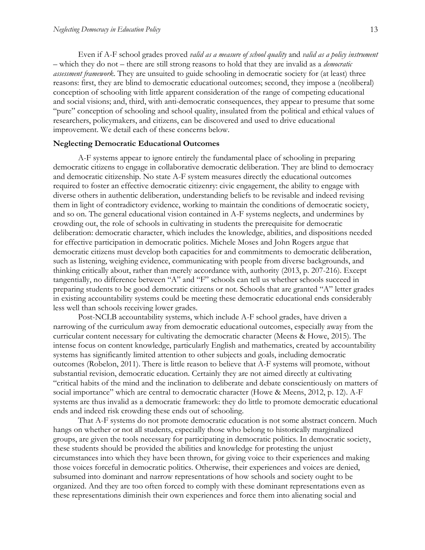Even if A-F school grades proved *valid as a measure of school quality* and *valid as a policy instrument*  – which they do not – there are still strong reasons to hold that they are invalid as a *democratic assessment framework*. They are unsuited to guide schooling in democratic society for (at least) three reasons: first, they are blind to democratic educational outcomes; second, they impose a (neoliberal) conception of schooling with little apparent consideration of the range of competing educational and social visions; and, third, with anti-democratic consequences, they appear to presume that some "pure" conception of schooling and school quality, insulated from the political and ethical values of researchers, policymakers, and citizens, can be discovered and used to drive educational improvement. We detail each of these concerns below.

#### **Neglecting Democratic Educational Outcomes**

A-F systems appear to ignore entirely the fundamental place of schooling in preparing democratic citizens to engage in collaborative democratic deliberation. They are blind to democracy and democratic citizenship. No state A-F system measures directly the educational outcomes required to foster an effective democratic citizenry: civic engagement, the ability to engage with diverse others in authentic deliberation, understanding beliefs to be revisable and indeed revising them in light of contradictory evidence, working to maintain the conditions of democratic society, and so on. The general educational vision contained in A-F systems neglects, and undermines by crowding out, the role of schools in cultivating in students the prerequisite for democratic deliberation: democratic character, which includes the knowledge, abilities, and dispositions needed for effective participation in democratic politics. Michele Moses and John Rogers argue that democratic citizens must develop both capacities for and commitments to democratic deliberation, such as listening, weighing evidence, communicating with people from diverse backgrounds, and thinking critically about, rather than merely accordance with, authority (2013, p. 207-216). Except tangentially, no difference between "A" and "F" schools can tell us whether schools succeed in preparing students to be good democratic citizens or not. Schools that are granted "A" letter grades in existing accountability systems could be meeting these democratic educational ends considerably less well than schools receiving lower grades.

Post-NCLB accountability systems, which include A-F school grades, have driven a narrowing of the curriculum away from democratic educational outcomes, especially away from the curricular content necessary for cultivating the democratic character (Meens & Howe, 2015). The intense focus on content knowledge, particularly English and mathematics, created by accountability systems has significantly limited attention to other subjects and goals, including democratic outcomes (Robelon, 2011). There is little reason to believe that A-F systems will promote, without substantial revision, democratic education. Certainly they are not aimed directly at cultivating "critical habits of the mind and the inclination to deliberate and debate conscientiously on matters of social importance" which are central to democratic character (Howe & Meens, 2012, p. 12). A-F systems are thus invalid as a democratic framework: they do little to promote democratic educational ends and indeed risk crowding these ends out of schooling.

That A-F systems do not promote democratic education is not some abstract concern. Much hangs on whether or not all students, especially those who belong to historically marginalized groups, are given the tools necessary for participating in democratic politics. In democratic society, these students should be provided the abilities and knowledge for protesting the unjust circumstances into which they have been thrown, for giving voice to their experiences and making those voices forceful in democratic politics. Otherwise, their experiences and voices are denied, subsumed into dominant and narrow representations of how schools and society ought to be organized. And they are too often forced to comply with these dominant representations even as these representations diminish their own experiences and force them into alienating social and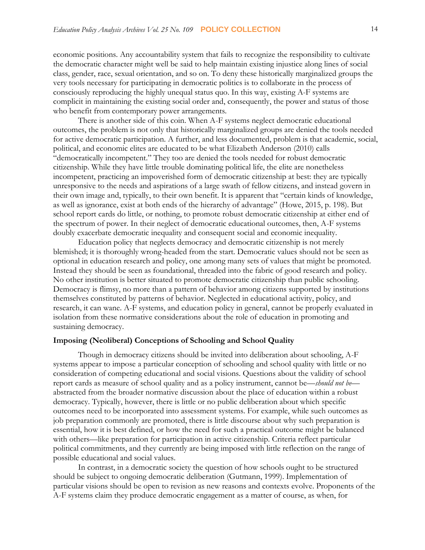economic positions. Any accountability system that fails to recognize the responsibility to cultivate the democratic character might well be said to help maintain existing injustice along lines of social class, gender, race, sexual orientation, and so on. To deny these historically marginalized groups the very tools necessary for participating in democratic politics is to collaborate in the process of consciously reproducing the highly unequal status quo. In this way, existing A-F systems are complicit in maintaining the existing social order and, consequently, the power and status of those who benefit from contemporary power arrangements.

There is another side of this coin. When A-F systems neglect democratic educational outcomes, the problem is not only that historically marginalized groups are denied the tools needed for active democratic participation. A further, and less documented, problem is that academic, social, political, and economic elites are educated to be what Elizabeth Anderson (2010) calls "democratically incompetent." They too are denied the tools needed for robust democratic citizenship. While they have little trouble dominating political life, the elite are nonetheless incompetent, practicing an impoverished form of democratic citizenship at best: they are typically unresponsive to the needs and aspirations of a large swath of fellow citizens, and instead govern in their own image and, typically, to their own benefit. It is apparent that "certain kinds of knowledge, as well as ignorance, exist at both ends of the hierarchy of advantage" (Howe, 2015, p. 198). But school report cards do little, or nothing, to promote robust democratic citizenship at either end of the spectrum of power. In their neglect of democratic educational outcomes, then, A-F systems doubly exacerbate democratic inequality and consequent social and economic inequality.

Education policy that neglects democracy and democratic citizenship is not merely blemished; it is thoroughly wrong-headed from the start. Democratic values should not be seen as optional in education research and policy, one among many sets of values that might be promoted. Instead they should be seen as foundational, threaded into the fabric of good research and policy. No other institution is better situated to promote democratic citizenship than public schooling. Democracy is flimsy, no more than a pattern of behavior among citizens supported by institutions themselves constituted by patterns of behavior. Neglected in educational activity, policy, and research, it can wane. A-F systems, and education policy in general, cannot be properly evaluated in isolation from these normative considerations about the role of education in promoting and sustaining democracy.

#### **Imposing (Neoliberal) Conceptions of Schooling and School Quality**

Though in democracy citizens should be invited into deliberation about schooling, A-F systems appear to impose a particular conception of schooling and school quality with little or no consideration of competing educational and social visions. Questions about the validity of school report cards as measure of school quality and as a policy instrument, cannot be—*should not be* abstracted from the broader normative discussion about the place of education within a robust democracy. Typically, however, there is little or no public deliberation about which specific outcomes need to be incorporated into assessment systems. For example, while such outcomes as job preparation commonly are promoted, there is little discourse about why such preparation is essential, how it is best defined, or how the need for such a practical outcome might be balanced with others—like preparation for participation in active citizenship. Criteria reflect particular political commitments, and they currently are being imposed with little reflection on the range of possible educational and social values.

In contrast, in a democratic society the question of how schools ought to be structured should be subject to ongoing democratic deliberation (Gutmann, 1999). Implementation of particular visions should be open to revision as new reasons and contexts evolve. Proponents of the A-F systems claim they produce democratic engagement as a matter of course, as when, for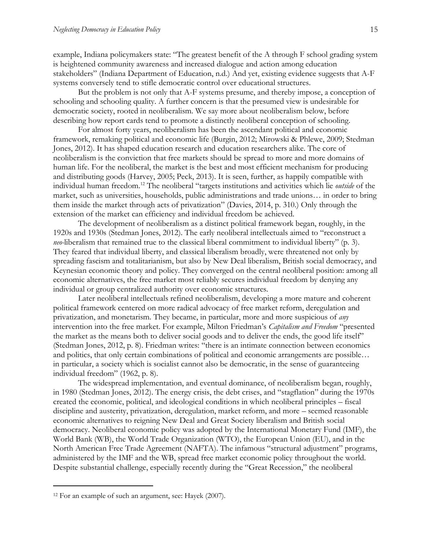example, Indiana policymakers state: "The greatest benefit of the A through F school grading system is heightened community awareness and increased dialogue and action among education stakeholders" (Indiana Department of Education, n.d.) And yet, existing evidence suggests that A-F systems conversely tend to stifle democratic control over educational structures.

But the problem is not only that A-F systems presume, and thereby impose, a conception of schooling and schooling quality. A further concern is that the presumed view is undesirable for democratic society, rooted in neoliberalism. We say more about neoliberalism below, before describing how report cards tend to promote a distinctly neoliberal conception of schooling.

For almost forty years, neoliberalism has been the ascendant political and economic framework, remaking political and economic life (Burgin, 2012; Mirowski & Phlewe, 2009; Stedman Jones, 2012). It has shaped education research and education researchers alike. The core of neoliberalism is the conviction that free markets should be spread to more and more domains of human life. For the neoliberal, the market is the best and most efficient mechanism for producing and distributing goods (Harvey, 2005; Peck, 2013). It is seen, further, as happily compatible with individual human freedom.<sup>12</sup> The neoliberal "targets institutions and activities which lie *outside* of the market, such as universities, households, public administrations and trade unions… in order to bring them inside the market through acts of privatization" (Davies, 2014, p. 310.) Only through the extension of the market can efficiency and individual freedom be achieved.

The development of neoliberalism as a distinct political framework began, roughly, in the 1920s and 1930s (Stedman Jones, 2012). The early neoliberal intellectuals aimed to "reconstruct a *neo-*liberalism that remained true to the classical liberal commitment to individual liberty" (p. 3). They feared that individual liberty, and classical liberalism broadly, were threatened not only by spreading fascism and totalitarianism, but also by New Deal liberalism, British social democracy, and Keynesian economic theory and policy. They converged on the central neoliberal position: among all economic alternatives, the free market most reliably secures individual freedom by denying any individual or group centralized authority over economic structures.

Later neoliberal intellectuals refined neoliberalism, developing a more mature and coherent political framework centered on more radical advocacy of free market reform, deregulation and privatization, and monetarism. They became, in particular, more and more suspicious of *any*  intervention into the free market. For example, Milton Friedman's *Capitalism and Freedom* "presented the market as the means both to deliver social goods and to deliver the ends, the good life itself" (Stedman Jones, 2012, p. 8). Friedman writes: "there is an intimate connection between economics and politics, that only certain combinations of political and economic arrangements are possible… in particular, a society which is socialist cannot also be democratic, in the sense of guaranteeing individual freedom" (1962, p. 8).

The widespread implementation, and eventual dominance, of neoliberalism began, roughly, in 1980 (Stedman Jones, 2012). The energy crisis, the debt crises, and "stagflation" during the 1970s created the economic, political, and ideological conditions in which neoliberal principles – fiscal discipline and austerity, privatization, deregulation, market reform, and more – seemed reasonable economic alternatives to reigning New Deal and Great Society liberalism and British social democracy. Neoliberal economic policy was adopted by the International Monetary Fund (IMF), the World Bank (WB), the World Trade Organization (WTO), the European Union (EU), and in the North American Free Trade Agreement (NAFTA). The infamous "structural adjustment" programs, administered by the IMF and the WB, spread free market economic policy throughout the world. Despite substantial challenge, especially recently during the "Great Recession," the neoliberal

<sup>12</sup> For an example of such an argument, see: Hayek (2007).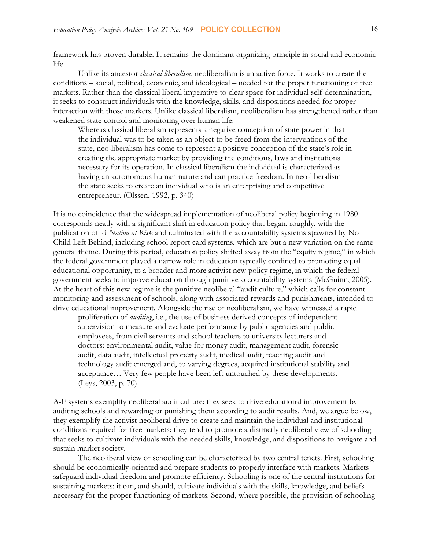framework has proven durable. It remains the dominant organizing principle in social and economic life.

Unlike its ancestor *classical liberalism*, neoliberalism is an active force. It works to create the conditions – social, political, economic, and ideological – needed for the proper functioning of free markets. Rather than the classical liberal imperative to clear space for individual self-determination, it seeks to construct individuals with the knowledge, skills, and dispositions needed for proper interaction with those markets. Unlike classical liberalism, neoliberalism has strengthened rather than weakened state control and monitoring over human life:

Whereas classical liberalism represents a negative conception of state power in that the individual was to be taken as an object to be freed from the interventions of the state, neo-liberalism has come to represent a positive conception of the state's role in creating the appropriate market by providing the conditions, laws and institutions necessary for its operation. In classical liberalism the individual is characterized as having an autonomous human nature and can practice freedom. In neo-liberalism the state seeks to create an individual who is an enterprising and competitive entrepreneur. (Olssen, 1992, p. 340)

It is no coincidence that the widespread implementation of neoliberal policy beginning in 1980 corresponds neatly with a significant shift in education policy that began, roughly, with the publication of *A Nation at Risk* and culminated with the accountability systems spawned by No Child Left Behind, including school report card systems, which are but a new variation on the same general theme. During this period, education policy shifted away from the "equity regime," in which the federal government played a narrow role in education typically confined to promoting equal educational opportunity, to a broader and more activist new policy regime, in which the federal government seeks to improve education through punitive accountability systems (McGuinn, 2005). At the heart of this new regime is the punitive neoliberal "audit culture," which calls for constant monitoring and assessment of schools, along with associated rewards and punishments, intended to drive educational improvement. Alongside the rise of neoliberalism, we have witnessed a rapid

proliferation of *auditing*, i.e., the use of business derived concepts of independent supervision to measure and evaluate performance by public agencies and public employees, from civil servants and school teachers to university lecturers and doctors: environmental audit, value for money audit, management audit, forensic audit, data audit, intellectual property audit, medical audit, teaching audit and technology audit emerged and, to varying degrees, acquired institutional stability and acceptance… Very few people have been left untouched by these developments. (Leys, 2003, p. 70)

A-F systems exemplify neoliberal audit culture: they seek to drive educational improvement by auditing schools and rewarding or punishing them according to audit results. And, we argue below, they exemplify the activist neoliberal drive to create and maintain the individual and institutional conditions required for free markets: they tend to promote a distinctly neoliberal view of schooling that seeks to cultivate individuals with the needed skills, knowledge, and dispositions to navigate and sustain market society.

The neoliberal view of schooling can be characterized by two central tenets. First, schooling should be economically-oriented and prepare students to properly interface with markets. Markets safeguard individual freedom and promote efficiency. Schooling is one of the central institutions for sustaining markets: it can, and should, cultivate individuals with the skills, knowledge, and beliefs necessary for the proper functioning of markets. Second, where possible, the provision of schooling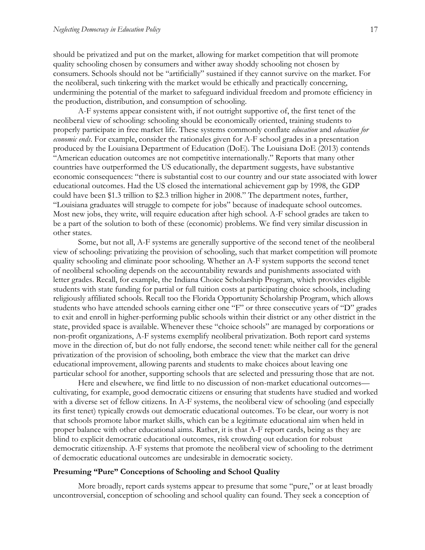should be privatized and put on the market, allowing for market competition that will promote quality schooling chosen by consumers and wither away shoddy schooling not chosen by consumers. Schools should not be "artificially" sustained if they cannot survive on the market. For the neoliberal, such tinkering with the market would be ethically and practically concerning, undermining the potential of the market to safeguard individual freedom and promote efficiency in the production, distribution, and consumption of schooling.

A-F systems appear consistent with, if not outright supportive of, the first tenet of the neoliberal view of schooling: schooling should be economically oriented, training students to properly participate in free market life. These systems commonly conflate *education* and *education for economic ends*. For example, consider the rationales given for A-F school grades in a presentation produced by the Louisiana Department of Education (DoE). The Louisiana DoE (2013) contends "American education outcomes are not competitive internationally." Reports that many other countries have outperformed the US educationally, the department suggests, have substantive economic consequences: "there is substantial cost to our country and our state associated with lower educational outcomes. Had the US closed the international achievement gap by 1998, the GDP could have been \$1.3 trillion to \$2.3 trillion higher in 2008." The department notes, further, "Louisiana graduates will struggle to compete for jobs" because of inadequate school outcomes. Most new jobs, they write, will require education after high school. A-F school grades are taken to be a part of the solution to both of these (economic) problems. We find very similar discussion in other states.

Some, but not all, A-F systems are generally supportive of the second tenet of the neoliberal view of schooling: privatizing the provision of schooling, such that market competition will promote quality schooling and eliminate poor schooling. Whether an A-F system supports the second tenet of neoliberal schooling depends on the accountability rewards and punishments associated with letter grades. Recall, for example, the Indiana Choice Scholarship Program, which provides eligible students with state funding for partial or full tuition costs at participating choice schools, including religiously affiliated schools. Recall too the Florida Opportunity Scholarship Program, which allows students who have attended schools earning either one "F" or three consecutive years of "D" grades to exit and enroll in higher-performing public schools within their district or any other district in the state, provided space is available. Whenever these "choice schools" are managed by corporations or non-profit organizations, A-F systems exemplify neoliberal privatization. Both report card systems move in the direction of, but do not fully endorse, the second tenet: while neither call for the general privatization of the provision of schooling, both embrace the view that the market can drive educational improvement, allowing parents and students to make choices about leaving one particular school for another, supporting schools that are selected and pressuring those that are not.

Here and elsewhere, we find little to no discussion of non-market educational outcomes cultivating, for example, good democratic citizens or ensuring that students have studied and worked with a diverse set of fellow citizens. In A-F systems, the neoliberal view of schooling (and especially its first tenet) typically crowds out democratic educational outcomes. To be clear, our worry is not that schools promote labor market skills, which can be a legitimate educational aim when held in proper balance with other educational aims. Rather, it is that A-F report cards, being as they are blind to explicit democratic educational outcomes, risk crowding out education for robust democratic citizenship. A-F systems that promote the neoliberal view of schooling to the detriment of democratic educational outcomes are undesirable in democratic society.

#### **Presuming "Pure" Conceptions of Schooling and School Quality**

More broadly, report cards systems appear to presume that some "pure," or at least broadly uncontroversial, conception of schooling and school quality can found. They seek a conception of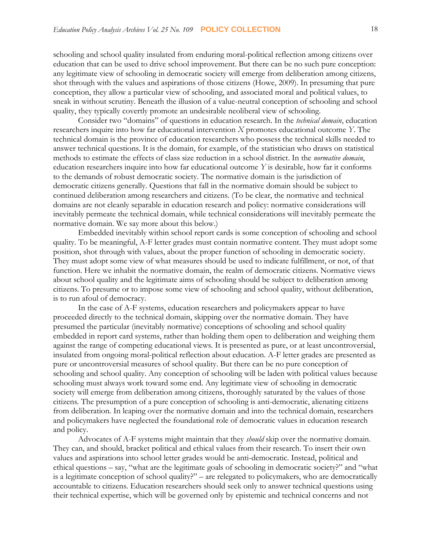schooling and school quality insulated from enduring moral-political reflection among citizens over education that can be used to drive school improvement. But there can be no such pure conception: any legitimate view of schooling in democratic society will emerge from deliberation among citizens, shot through with the values and aspirations of those citizens (Howe, 2009). In presuming that pure conception, they allow a particular view of schooling, and associated moral and political values, to sneak in without scrutiny. Beneath the illusion of a value-neutral conception of schooling and school quality, they typically covertly promote an undesirable neoliberal view of schooling.

Consider two "domains" of questions in education research. In the *technical domain*, education researchers inquire into how far educational intervention *X* promotes educational outcome *Y*. The technical domain is the province of education researchers who possess the technical skills needed to answer technical questions. It is the domain, for example, of the statistician who draws on statistical methods to estimate the effects of class size reduction in a school district. In the *normative domain*, education researchers inquire into how far educational outcome *Y* is desirable, how far it conforms to the demands of robust democratic society. The normative domain is the jurisdiction of democratic citizens generally. Questions that fall in the normative domain should be subject to continued deliberation among researchers and citizens. (To be clear, the normative and technical domains are not cleanly separable in education research and policy: normative considerations will inevitably permeate the technical domain, while technical considerations will inevitably permeate the normative domain. We say more about this below.)

Embedded inevitably within school report cards is some conception of schooling and school quality. To be meaningful, A-F letter grades must contain normative content. They must adopt some position, shot through with values, about the proper function of schooling in democratic society. They must adopt some view of what measures should be used to indicate fulfillment, or not, of that function. Here we inhabit the normative domain, the realm of democratic citizens. Normative views about school quality and the legitimate aims of schooling should be subject to deliberation among citizens. To presume or to impose some view of schooling and school quality, without deliberation, is to run afoul of democracy.

In the case of A-F systems, education researchers and policymakers appear to have proceeded directly to the technical domain, skipping over the normative domain. They have presumed the particular (inevitably normative) conceptions of schooling and school quality embedded in report card systems, rather than holding them open to deliberation and weighing them against the range of competing educational views. It is presented as pure, or at least uncontroversial, insulated from ongoing moral-political reflection about education. A-F letter grades are presented as pure or uncontroversial measures of school quality. But there can be no pure conception of schooling and school quality. Any conception of schooling will be laden with political values because schooling must always work toward some end. Any legitimate view of schooling in democratic society will emerge from deliberation among citizens, thoroughly saturated by the values of those citizens. The presumption of a pure conception of schooling is anti-democratic, alienating citizens from deliberation. In leaping over the normative domain and into the technical domain, researchers and policymakers have neglected the foundational role of democratic values in education research and policy.

Advocates of A-F systems might maintain that they *should* skip over the normative domain. They can, and should, bracket political and ethical values from their research. To insert their own values and aspirations into school letter grades would be anti-democratic. Instead, political and ethical questions – say, "what are the legitimate goals of schooling in democratic society?" and "what is a legitimate conception of school quality?" – are relegated to policymakers, who are democratically accountable to citizens. Education researchers should seek only to answer technical questions using their technical expertise, which will be governed only by epistemic and technical concerns and not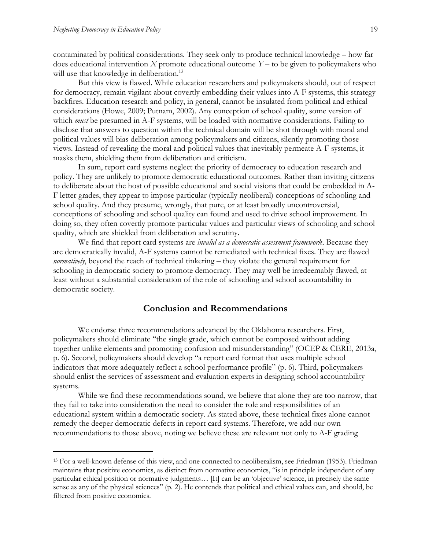contaminated by political considerations. They seek only to produce technical knowledge – how far does educational intervention *X* promote educational outcome *Y* – to be given to policymakers who will use that knowledge in deliberation.<sup>13</sup>

But this view is flawed. While education researchers and policymakers should, out of respect for democracy, remain vigilant about covertly embedding their values into A-F systems, this strategy backfires. Education research and policy, in general, cannot be insulated from political and ethical considerations (Howe, 2009; Putnam, 2002). Any conception of school quality, some version of which *must* be presumed in A-F systems, will be loaded with normative considerations. Failing to disclose that answers to question within the technical domain will be shot through with moral and political values will bias deliberation among policymakers and citizens, silently promoting those views. Instead of revealing the moral and political values that inevitably permeate A-F systems, it masks them, shielding them from deliberation and criticism.

In sum, report card systems neglect the priority of democracy to education research and policy. They are unlikely to promote democratic educational outcomes. Rather than inviting citizens to deliberate about the host of possible educational and social visions that could be embedded in A-F letter grades, they appear to impose particular (typically neoliberal) conceptions of schooling and school quality. And they presume, wrongly, that pure, or at least broadly uncontroversial, conceptions of schooling and school quality can found and used to drive school improvement. In doing so, they often covertly promote particular values and particular views of schooling and school quality, which are shielded from deliberation and scrutiny.

We find that report card systems are *invalid as a democratic assessment framework*. Because they are democratically invalid, A-F systems cannot be remediated with technical fixes. They are flawed *normatively*, beyond the reach of technical tinkering – they violate the general requirement for schooling in democratic society to promote democracy. They may well be irredeemably flawed, at least without a substantial consideration of the role of schooling and school accountability in democratic society.

## **Conclusion and Recommendations**

We endorse three recommendations advanced by the Oklahoma researchers. First, policymakers should eliminate "the single grade, which cannot be composed without adding together unlike elements and promoting confusion and misunderstanding" (OCEP & CERE, 2013a, p. 6). Second, policymakers should develop "a report card format that uses multiple school indicators that more adequately reflect a school performance profile" (p. 6). Third, policymakers should enlist the services of assessment and evaluation experts in designing school accountability systems.

While we find these recommendations sound, we believe that alone they are too narrow, that they fail to take into consideration the need to consider the role and responsibilities of an educational system within a democratic society. As stated above, these technical fixes alone cannot remedy the deeper democratic defects in report card systems. Therefore, we add our own recommendations to those above, noting we believe these are relevant not only to A-F grading

<sup>13</sup> For a well-known defense of this view, and one connected to neoliberalism, see Friedman (1953). Friedman maintains that positive economics, as distinct from normative economics, "is in principle independent of any particular ethical position or normative judgments… [It] can be an 'objective' science, in precisely the same sense as any of the physical sciences" (p. 2). He contends that political and ethical values can, and should, be filtered from positive economics.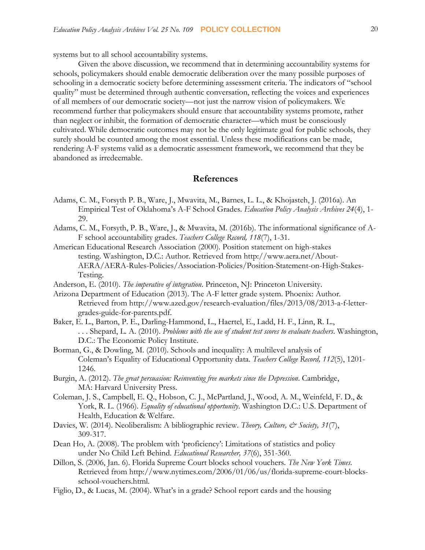systems but to all school accountability systems.

Given the above discussion, we recommend that in determining accountability systems for schools, policymakers should enable democratic deliberation over the many possible purposes of schooling in a democratic society before determining assessment criteria. The indicators of "school quality" must be determined through authentic conversation, reflecting the voices and experiences of all members of our democratic society—not just the narrow vision of policymakers. We recommend further that policymakers should ensure that accountability systems promote, rather than neglect or inhibit, the formation of democratic character—which must be consciously cultivated. While democratic outcomes may not be the only legitimate goal for public schools, they surely should be counted among the most essential. Unless these modifications can be made, rendering A-F systems valid as a democratic assessment framework, we recommend that they be abandoned as irredeemable.

## **References**

- Adams, C. M., Forsyth P. B., Ware, J., Mwavita, M., Barnes, L. L., & Khojasteh, J. (2016a). An Empirical Test of Oklahoma's A-F School Grades. *Education Policy Analysis Archives 24*(4), 1- 29.
- Adams, C. M., Forsyth, P. B., Ware, J., & Mwavita, M. (2016b). The informational significance of A-F school accountability grades. *Teachers College Record, 118*(7), 1-31.
- American Educational Research Association (2000). Position statement on high-stakes testing. Washington, D.C.: Author. Retrieved from http://www.aera.net/About-AERA/AERA-Rules-Policies/Association-Policies/Position-Statement-on-High-Stakes-Testing.
- Anderson, E. (2010). *The imperative of integration*. Princeton, NJ: Princeton University.
- Arizona Department of Education (2013). The A-F letter grade system. Phoenix: Author. Retrieved from http://www.azed.gov/research-evaluation/files/2013/08/2013-a-f-lettergrades-guide-for-parents.pdf.
- Baker, E. L., Barton, P. E., Darling-Hammond, L., Haertel, E., Ladd, H. F., Linn, R. L., . . . Shepard, L. A. (2010). *Problems with the use of student test scores to evaluate teachers*. Washington, D.C.: The Economic Policy Institute.
- Borman, G., & Dowling, M. (2010). Schools and inequality: A multilevel analysis of Coleman's Equality of Educational Opportunity data. *Teachers College Record, 112*(5), 1201- 1246.
- Burgin, A. (2012). *The great persuasion: Reinventing free markets since the Depression*. Cambridge, MA: Harvard University Press.
- Coleman, J. S., Campbell, E. Q., Hobson, C. J., McPartland, J., Wood, A. M., Weinfeld, F. D., & York, R. L. (1966). *Equality of educational opportunity*. Washington D.C.: U.S. Department of Health, Education & Welfare.
- Davies, W. (2014). Neoliberalism: A bibliographic review. *Theory, Culture, & Society, 31*(7), 309-317.
- Dean Ho, A. (2008). The problem with 'proficiency': Limitations of statistics and policy under No Child Left Behind. *Educational Researcher, 37*(6), 351-360.
- Dillon, S. (2006, Jan. 6). Florida Supreme Court blocks school vouchers. *The New York Times*. Retrieved from http://www.nytimes.com/2006/01/06/us/florida-supreme-court-blocksschool-vouchers.html.
- Figlio, D., & Lucas, M. (2004). What's in a grade? School report cards and the housing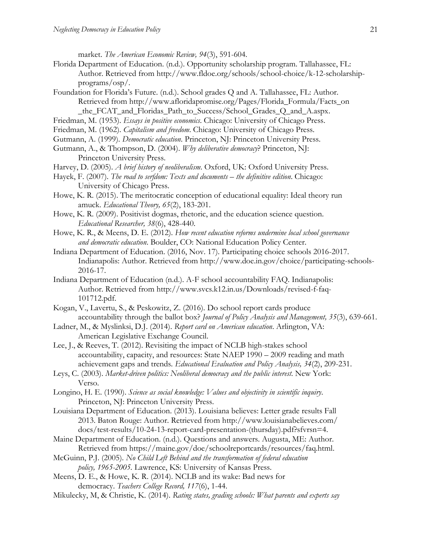market. *The American Economic Review, 94*(3), 591-604.

- Florida Department of Education. (n.d.). Opportunity scholarship program. Tallahassee, FL: Author. Retrieved from http://www.fldoe.org/schools/school-choice/k-12-scholarshipprograms/osp/.
- Foundation for Florida's Future. (n.d.). School grades Q and A. Tallahassee, FL: Author. Retrieved from http://www.afloridapromise.org/Pages/Florida\_Formula/Facts\_on \_the\_FCAT\_and\_Floridas\_Path\_to\_Success/School\_Grades\_Q\_and\_A.aspx.
- Friedman, M. (1953). *Essays in positive economics*. Chicago: University of Chicago Press.
- Friedman, M. (1962). *Capitalism and freedom*. Chicago: University of Chicago Press.
- Gutmann, A. (1999). *Democratic education*. Princeton, NJ: Princeton University Press.
- Gutmann, A., & Thompson, D. (2004). *Why deliberative democracy*? Princeton, NJ: Princeton University Press.
- Harvey, D. (2005). *A brief history of neoliberalism*. Oxford, UK: Oxford University Press.
- Hayek, F. (2007). *The road to serfdom: Texts and documents the definitive edition*. Chicago: University of Chicago Press.
- Howe, K. R. (2015). The meritocratic conception of educational equality: Ideal theory run amuck. *Educational Theory, 65*(2), 183-201.
- Howe, K. R. (2009). Positivist dogmas, rhetoric, and the education science question. *Educational Researcher, 38*(6), 428-440.
- Howe, K. R., & Meens, D. E. (2012). *How recent education reforms undermine local school governance and democratic education*. Boulder, CO: National Education Policy Center.
- Indiana Department of Education. (2016, Nov. 17). Participating choice schools 2016-2017. Indianapolis: Author. Retrieved from http://www.doe.in.gov/choice/participating-schools-2016-17.
- Indiana Department of Education (n.d.). A-F school accountability FAQ. Indianapolis: Author. Retrieved from http://www.svcs.k12.in.us/Downloads/revised-f-faq-101712.pdf.
- Kogan, V., Lavertu, S., & Peskowitz, Z. (2016). Do school report cards produce accountability through the ballot box? *Journal of Policy Analysis and Management, 35*(3), 639-661.
- Ladner, M., & Myslinksi, D.J. (2014). *Report card on American education*. Arlington, VA: American Legislative Exchange Council.
- Lee, J., & Reeves, T. (2012). Revisiting the impact of NCLB high-stakes school accountability, capacity, and resources: State NAEP 1990 – 2009 reading and math achievement gaps and trends. *Educational Evaluation and Policy Analysis, 34*(2), 209-231.
- Leys, C. (2003). *Market-driven politics: Neoliberal democracy and the public interest*. New York: Verso.
- Longino, H. E. (1990). *Science as social knowledge: Values and objectivity in scientific inquiry*. Princeton, NJ: Princeton University Press.
- Louisiana Department of Education. (2013). Louisiana believes: Letter grade results Fall 2013. Baton Rouge: Author. Retrieved from http://www.louisianabelieves.com/ docs/test-results/10-24-13-report-card-presentation-(thursday).pdf?sfvrsn=4.
- Maine Department of Education. (n.d.). Questions and answers. Augusta, ME: Author. Retrieved from https://maine.gov/doe/schoolreportcards/resources/faq.html.
- McGuinn, P.J. (2005). *No Child Left Behind and the transformation of federal education policy, 1965-2005.* Lawrence, KS: University of Kansas Press.
- Meens, D. E., & Howe, K. R. (2014). NCLB and its wake: Bad news for democracy. *Teachers College Record, 117*(6), 1-44.
- Mikulecky, M, & Christie, K. (2014). *Rating states, grading schools: What parents and experts say*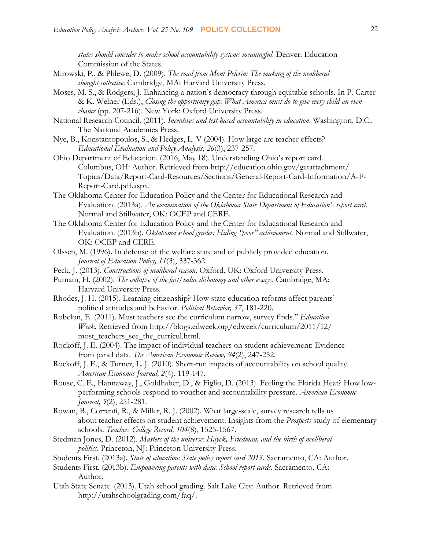*states should consider to make school accountability systems meaningful*. Denver: Education Commission of the States.

- Mirowski, P., & Phlewe, D. (2009). *The road from Mont Pelerin: The making of the neoliberal thought collective*. Cambridge, MA: Harvard University Press.
- Moses, M. S., & Rodgers, J. Enhancing a nation's democracy through equitable schools. In P. Carter & K. Welner (Eds.), *Closing the opportunity gap: What America must do to give every child an even chance* (pp. 207-216). New York: Oxford University Press.
- National Research Council. (2011). *Incentives and test-based accountability in education*. Washington, D.C.: The National Academies Press.
- Nye, B., Konstantopoulos, S., & Hedges, L. V (2004). How large are teacher effects? *Educational Evaluation and Policy Analysis, 26*(3), 237-257.
- Ohio Department of Education. (2016, May 18). Understanding Ohio's report card. Columbus, OH: Author. Retrieved from http://education.ohio.gov/getattachment/ Topics/Data/Report-Card-Resources/Sections/General-Report-Card-Information/A-F-Report-Card.pdf.aspx.
- The Oklahoma Center for Education Policy and the Center for Educational Research and Evaluation. (2013a). *An examination of the Oklahoma State Department of Education's report card*. Normal and Stillwater, OK: OCEP and CERE.
- The Oklahoma Center for Education Policy and the Center for Educational Research and Evaluation. (2013b). *Oklahoma school grades: Hiding "poor" achievement.* Normal and Stillwater, OK: OCEP and CERE.
- Olssen, M. (1996). In defense of the welfare state and of publicly provided education. *Journal of Education Policy, 11*(3), 337-362.
- Peck, J. (2013). *Constructions of neoliberal reason*. Oxford, UK: Oxford University Press.
- Putnam, H. (2002). *The collapse of the fact/value dichotomy and other essays*. Cambridge, MA: Harvard University Press.
- Rhodes, J. H. (2015). Learning citizenship? How state education reforms affect parents' political attitudes and behavior. *Political Behavior, 37*, 181-220.
- Robelon, E. (2011). Most teachers see the curriculum narrow, survey finds." *Education Week*. Retrieved from http://blogs.edweek.org/edweek/curriculum/2011/12/ most\_teachers\_see\_the\_curricul.html.
- Rockoff, J. E. (2004). The impact of individual teachers on student achievement: Evidence from panel data. *The American Economic Review, 94*(2), 247-252.
- Rockoff, J. E., & Turner, L. J. (2010). Short-run impacts of accountability on school quality. *American Economic Journal, 2*(4), 119-147.
- Rouse, C. E., Hannaway, J., Goldhaber, D., & Figlio, D. (2013). Feeling the Florida Heat? How lowperforming schools respond to voucher and accountability pressure. *American Economic Journal, 5*(2), 251-281.
- Rowan, B., Correnti, R., & Miller, R. J. (2002). What large-scale, survey research tells us about teacher effects on student achievement: Insights from the *Prospects* study of elementary schools. *Teachers College Record, 104*(8), 1525-1567.
- Stedman Jones, D. (2012). *Masters of the universe: Hayek, Friedman, and the birth of neoliberal politics*. Princeton, NJ: Princeton University Press.
- Students First. (2013a). *State of education: State policy report card 2013*. Sacramento, CA: Author.
- Students First. (2013b). *Empowering parents with data: School report cards*. Sacramento, CA: Author.
- Utah State Senate. (2013). Utah school grading. Salt Lake City: Author. Retrieved from http://utahschoolgrading.com/faq/.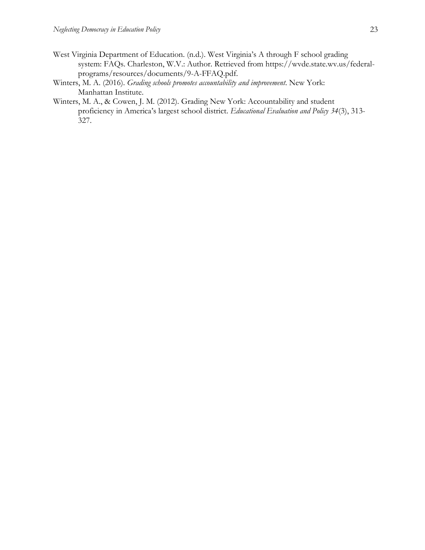- West Virginia Department of Education. (n.d.). West Virginia's A through F school grading system: FAQs. Charleston, W.V.: Author. Retrieved from https://wvde.state.wv.us/federalprograms/resources/documents/9-A-FFAQ.pdf.
- Winters, M. A. (2016). *Grading schools promotes accountability and improvement*. New York: Manhattan Institute.
- Winters, M. A., & Cowen, J. M. (2012). Grading New York: Accountability and student proficiency in America's largest school district. *Educational Evaluation and Policy 34*(3), 313- 327.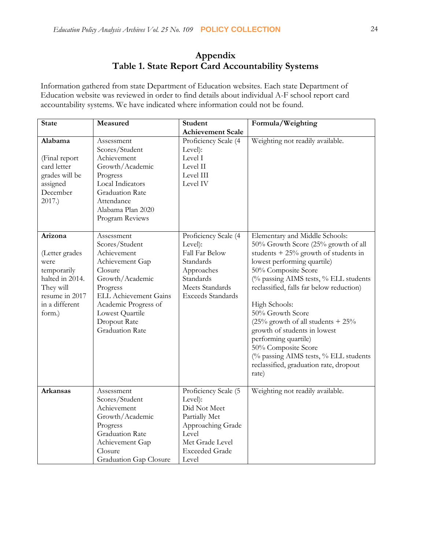# **Appendix Table 1. State Report Card Accountability Systems**

Information gathered from state Department of Education websites. Each state Department of Education website was reviewed in order to find details about individual A-F school report card accountability systems. We have indicated where information could not be found.

| <b>State</b>                                                                                                                   | Measured                                                                                                                                                                                                                      | Student                                                                                                                                             | Formula/Weighting                                                                                                                                                                                                                                                                                                                                                                                                                                                                                                       |
|--------------------------------------------------------------------------------------------------------------------------------|-------------------------------------------------------------------------------------------------------------------------------------------------------------------------------------------------------------------------------|-----------------------------------------------------------------------------------------------------------------------------------------------------|-------------------------------------------------------------------------------------------------------------------------------------------------------------------------------------------------------------------------------------------------------------------------------------------------------------------------------------------------------------------------------------------------------------------------------------------------------------------------------------------------------------------------|
|                                                                                                                                |                                                                                                                                                                                                                               | <b>Achievement Scale</b>                                                                                                                            |                                                                                                                                                                                                                                                                                                                                                                                                                                                                                                                         |
| Alabama<br>(Final report<br>card letter<br>grades will be<br>assigned<br>December<br>2017.)                                    | Assessment<br>Scores/Student<br>Achievement<br>Growth/Academic<br>Progress<br>Local Indicators<br><b>Graduation Rate</b><br>Attendance<br>Alabama Plan 2020<br>Program Reviews                                                | Proficiency Scale (4<br>Level):<br>Level I<br>Level II<br>Level III<br>Level IV                                                                     | Weighting not readily available.                                                                                                                                                                                                                                                                                                                                                                                                                                                                                        |
| Arizona<br>(Letter grades<br>were<br>temporarily<br>halted in 2014.<br>They will<br>resume in 2017<br>in a different<br>form.) | Assessment<br>Scores/Student<br>Achievement<br>Achievement Gap<br>Closure<br>Growth/Academic<br>Progress<br><b>ELL Achievement Gains</b><br>Academic Progress of<br>Lowest Quartile<br>Dropout Rate<br><b>Graduation Rate</b> | Proficiency Scale (4<br>Level):<br>Fall Far Below<br>Standards<br>Approaches<br>Standards<br>Meets Standards<br><b>Exceeds Standards</b>            | Elementary and Middle Schools:<br>50% Growth Score (25% growth of all<br>students $+ 25\%$ growth of students in<br>lowest performing quartile)<br>50% Composite Score<br>(% passing AIMS tests, % ELL students<br>reclassified, falls far below reduction)<br>High Schools:<br>50% Growth Score<br>$(25\%$ growth of all students + $25\%$<br>growth of students in lowest<br>performing quartile)<br>50% Composite Score<br>(% passing AIMS tests, % ELL students)<br>reclassified, graduation rate, dropout<br>rate) |
| <b>Arkansas</b>                                                                                                                | Assessment<br>Scores/Student<br>Achievement<br>Growth/Academic<br>Progress<br>Graduation Rate<br>Achievement Gap<br>Closure<br>Graduation Gap Closure                                                                         | Proficiency Scale (5<br>Level):<br>Did Not Meet<br>Partially Met<br>Approaching Grade<br>Level<br>Met Grade Level<br><b>Exceeded Grade</b><br>Level | Weighting not readily available.                                                                                                                                                                                                                                                                                                                                                                                                                                                                                        |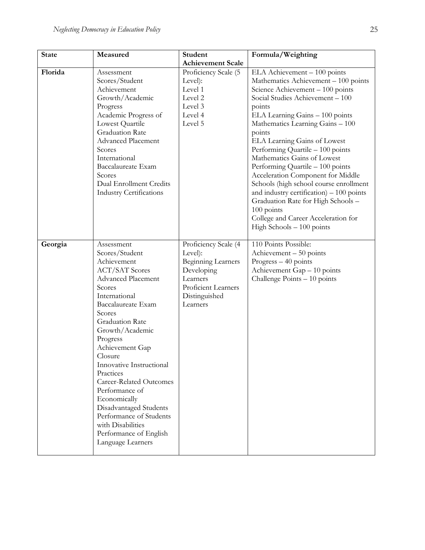| <b>State</b> | Measured                          | Student                   | Formula/Weighting                                                                   |
|--------------|-----------------------------------|---------------------------|-------------------------------------------------------------------------------------|
|              |                                   | <b>Achievement Scale</b>  |                                                                                     |
| Florida      | Assessment                        | Proficiency Scale (5      | ELA Achievement - 100 points                                                        |
|              | Scores/Student                    | Level):                   | Mathematics Achievement - 100 points                                                |
|              | Achievement                       | Level 1                   | Science Achievement - 100 points                                                    |
|              | Growth/Academic                   | Level 2                   | Social Studies Achievement - 100                                                    |
|              | Progress                          | Level 3                   | points                                                                              |
|              | Academic Progress of              | Level 4                   | ELA Learning Gains - 100 points                                                     |
|              | Lowest Quartile                   | Level 5                   | Mathematics Learning Gains - 100                                                    |
|              | <b>Graduation Rate</b>            |                           | points                                                                              |
|              | <b>Advanced Placement</b>         |                           | ELA Learning Gains of Lowest                                                        |
|              | Scores                            |                           | Performing Quartile - 100 points                                                    |
|              | International                     |                           | Mathematics Gains of Lowest                                                         |
|              | Baccalaureate Exam                |                           | Performing Quartile - 100 points                                                    |
|              | Scores<br>Dual Enrollment Credits |                           | Acceleration Component for Middle                                                   |
|              | <b>Industry Certifications</b>    |                           | Schools (high school course enrollment<br>and industry certification) $-100$ points |
|              |                                   |                           | Graduation Rate for High Schools -                                                  |
|              |                                   |                           | 100 points                                                                          |
|              |                                   |                           | College and Career Acceleration for                                                 |
|              |                                   |                           | High Schools $-100$ points                                                          |
|              |                                   |                           |                                                                                     |
| Georgia      | Assessment                        | Proficiency Scale (4      | 110 Points Possible:                                                                |
|              | Scores/Student                    | Level):                   | Achievement $-50$ points                                                            |
|              | Achievement                       | <b>Beginning Learners</b> | Progress $-40$ points                                                               |
|              | <b>ACT/SAT Scores</b>             | Developing                | Achievement Gap - 10 points                                                         |
|              | <b>Advanced Placement</b>         | Learners                  | Challenge Points - 10 points                                                        |
|              | Scores                            | Proficient Learners       |                                                                                     |
|              | International                     | Distinguished             |                                                                                     |
|              | Baccalaureate Exam                | Learners                  |                                                                                     |
|              | Scores                            |                           |                                                                                     |
|              | Graduation Rate                   |                           |                                                                                     |
|              | Growth/Academic                   |                           |                                                                                     |
|              | Progress<br>Achievement Gap       |                           |                                                                                     |
|              | Closure                           |                           |                                                                                     |
|              | Innovative Instructional          |                           |                                                                                     |
|              | Practices                         |                           |                                                                                     |
|              | <b>Career-Related Outcomes</b>    |                           |                                                                                     |
|              | Performance of                    |                           |                                                                                     |
|              | Economically                      |                           |                                                                                     |
|              | Disadvantaged Students            |                           |                                                                                     |
|              | Performance of Students           |                           |                                                                                     |
|              | with Disabilities                 |                           |                                                                                     |
|              | Performance of English            |                           |                                                                                     |
|              | Language Learners                 |                           |                                                                                     |
|              |                                   |                           |                                                                                     |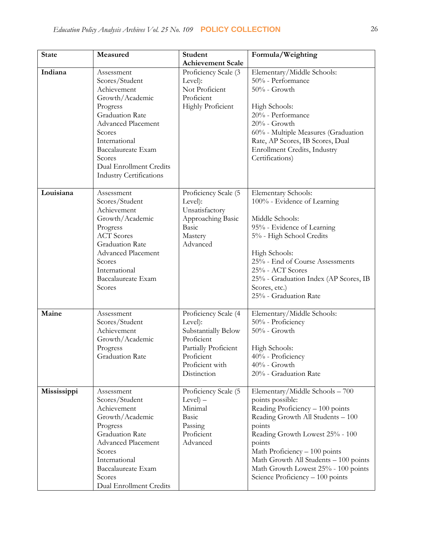| <b>State</b> | Measured                                                                                                                                                                                                                                                  | Student                                                                                                                                      | Formula/Weighting                                                                                                                                                                                                                                                                                                                        |
|--------------|-----------------------------------------------------------------------------------------------------------------------------------------------------------------------------------------------------------------------------------------------------------|----------------------------------------------------------------------------------------------------------------------------------------------|------------------------------------------------------------------------------------------------------------------------------------------------------------------------------------------------------------------------------------------------------------------------------------------------------------------------------------------|
|              |                                                                                                                                                                                                                                                           | <b>Achievement Scale</b>                                                                                                                     |                                                                                                                                                                                                                                                                                                                                          |
| Indiana      | Assessment<br>Scores/Student<br>Achievement<br>Growth/Academic<br>Progress<br><b>Graduation Rate</b><br><b>Advanced Placement</b><br>Scores<br>International<br>Baccalaureate Exam<br>Scores<br>Dual Enrollment Credits<br><b>Industry Certifications</b> | Proficiency Scale (3<br>Level):<br>Not Proficient<br>Proficient<br><b>Highly Proficient</b>                                                  | Elementary/Middle Schools:<br>50% - Performance<br>$50\%$ - Growth<br>High Schools:<br>20% - Performance<br>$20%$ - Growth<br>60% - Multiple Measures (Graduation<br>Rate, AP Scores, IB Scores, Dual<br>Enrollment Credits, Industry<br>Certifications)                                                                                 |
| Louisiana    | Assessment<br>Scores/Student<br>Achievement<br>Growth/Academic<br>Progress<br><b>ACT</b> Scores<br><b>Graduation Rate</b><br><b>Advanced Placement</b><br>Scores<br>International<br>Baccalaureate Exam<br>Scores                                         | Proficiency Scale (5<br>Level):<br>Unsatisfactory<br>Approaching Basic<br><b>Basic</b><br>Mastery<br>Advanced                                | Elementary Schools:<br>100% - Evidence of Learning<br>Middle Schools:<br>95% - Evidence of Learning<br>5% - High School Credits<br>High Schools:<br>25% - End of Course Assessments<br>25% - ACT Scores<br>25% - Graduation Index (AP Scores, IB<br>Scores, etc.)<br>25% - Graduation Rate                                               |
| Maine        | Assessment<br>Scores/Student<br>Achievement<br>Growth/Academic<br>Progress<br>Graduation Rate                                                                                                                                                             | Proficiency Scale (4<br>Level):<br>Substantially Below<br>Proficient<br>Partially Proficient<br>Proficient<br>Proficient with<br>Distinction | Elementary/Middle Schools:<br>50% - Proficiency<br>$50\%$ - Growth<br>High Schools:<br>40% - Proficiency<br>$40%$ - Growth<br>20% - Graduation Rate                                                                                                                                                                                      |
| Mississippi  | Assessment<br>Scores/Student<br>Achievement<br>Growth/Academic<br>Progress<br><b>Graduation Rate</b><br><b>Advanced Placement</b><br>Scores<br>International<br>Baccalaureate Exam<br>Scores<br>Dual Enrollment Credits                                   | Proficiency Scale (5<br>$Level$ –<br>Minimal<br>Basic<br>Passing<br>Proficient<br>Advanced                                                   | Elementary/Middle Schools - 700<br>points possible:<br>Reading Proficiency - 100 points<br>Reading Growth All Students - 100<br>points<br>Reading Growth Lowest 25% - 100<br>points<br>Math Proficiency - 100 points<br>Math Growth All Students - 100 points<br>Math Growth Lowest 25% - 100 points<br>Science Proficiency - 100 points |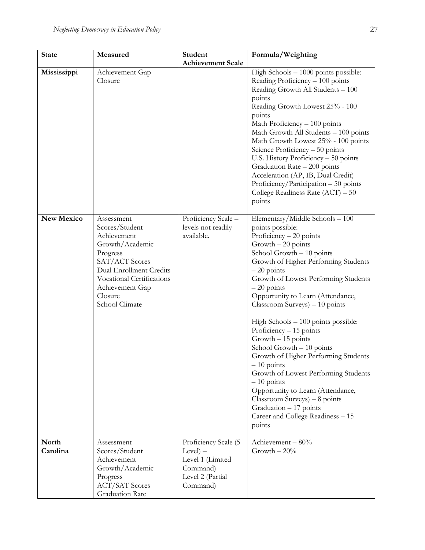| <b>State</b>      | Measured                                                                                                                                                                                             | Student                                                                                           | Formula/Weighting                                                                                                                                                                                                                                                                                                                                                                                                                                                                                                                                                                                                                                                                                                       |
|-------------------|------------------------------------------------------------------------------------------------------------------------------------------------------------------------------------------------------|---------------------------------------------------------------------------------------------------|-------------------------------------------------------------------------------------------------------------------------------------------------------------------------------------------------------------------------------------------------------------------------------------------------------------------------------------------------------------------------------------------------------------------------------------------------------------------------------------------------------------------------------------------------------------------------------------------------------------------------------------------------------------------------------------------------------------------------|
|                   |                                                                                                                                                                                                      | <b>Achievement Scale</b>                                                                          |                                                                                                                                                                                                                                                                                                                                                                                                                                                                                                                                                                                                                                                                                                                         |
| Mississippi       | Achievement Gap<br>Closure                                                                                                                                                                           |                                                                                                   | High Schools $-1000$ points possible:<br>Reading Proficiency - 100 points<br>Reading Growth All Students - 100<br>points<br>Reading Growth Lowest 25% - 100<br>points<br>Math Proficiency - 100 points<br>Math Growth All Students - 100 points<br>Math Growth Lowest 25% - 100 points<br>Science Proficiency $-50$ points<br>U.S. History Proficiency - 50 points<br>Graduation Rate - 200 points<br>Acceleration (AP, IB, Dual Credit)<br>Proficiency/Participation - 50 points<br>College Readiness Rate $(ACT) - 50$<br>points                                                                                                                                                                                      |
| <b>New Mexico</b> | Assessment<br>Scores/Student<br>Achievement<br>Growth/Academic<br>Progress<br>SAT/ACT Scores<br>Dual Enrollment Credits<br>Vocational Certifications<br>Achievement Gap<br>Closure<br>School Climate | Proficiency Scale -<br>levels not readily<br>available.                                           | Elementary/Middle Schools - 100<br>points possible:<br>Proficiency $-20$ points<br>$Growth - 20 points$<br>School Growth - 10 points<br>Growth of Higher Performing Students<br>$-20$ points<br>Growth of Lowest Performing Students<br>$-20$ points<br>Opportunity to Learn (Attendance,<br>$Classroom$ Surveys) $-10$ points<br>High Schools $-100$ points possible:<br>Proficiency $-15$ points<br>Growth - 15 points<br>School Growth - 10 points<br>Growth of Higher Performing Students<br>$-10$ points<br>Growth of Lowest Performing Students<br>$-10$ points<br>Opportunity to Learn (Attendance,<br>$Classroom$ Surveys) $-8$ points<br>Graduation - 17 points<br>Career and College Readiness - 15<br>points |
| North<br>Carolina | Assessment<br>Scores/Student<br>Achievement<br>Growth/Academic<br>Progress<br><b>ACT/SAT Scores</b><br>Graduation Rate                                                                               | Proficiency Scale (5<br>$Level$ –<br>Level 1 (Limited<br>Command)<br>Level 2 (Partial<br>Command) | Achievement - 80%<br>Growth $-20%$                                                                                                                                                                                                                                                                                                                                                                                                                                                                                                                                                                                                                                                                                      |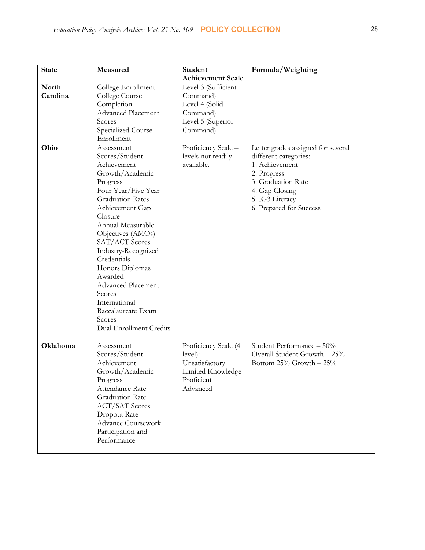| <b>State</b> | Measured                  | Student                  | Formula/Weighting                  |
|--------------|---------------------------|--------------------------|------------------------------------|
|              |                           | <b>Achievement Scale</b> |                                    |
| North        | College Enrollment        | Level 3 (Sufficient      |                                    |
| Carolina     | College Course            | Command)                 |                                    |
|              | Completion                | Level 4 (Solid           |                                    |
|              | Advanced Placement        | Command)                 |                                    |
|              | Scores                    | Level 5 (Superior        |                                    |
|              | Specialized Course        | Command)                 |                                    |
|              | Enrollment                |                          |                                    |
| Ohio         | Assessment                | Proficiency Scale -      | Letter grades assigned for several |
|              | Scores/Student            | levels not readily       | different categories:              |
|              | Achievement               | available.               | 1. Achievement                     |
|              | Growth/Academic           |                          | 2. Progress                        |
|              | Progress                  |                          | 3. Graduation Rate                 |
|              | Four Year/Five Year       |                          | 4. Gap Closing                     |
|              | <b>Graduation Rates</b>   |                          | 5. K-3 Literacy                    |
|              | Achievement Gap           |                          | 6. Prepared for Success            |
|              | Closure                   |                          |                                    |
|              | Annual Measurable         |                          |                                    |
|              | Objectives (AMOs)         |                          |                                    |
|              | SAT/ACT Scores            |                          |                                    |
|              | Industry-Recognized       |                          |                                    |
|              | Credentials               |                          |                                    |
|              | Honors Diplomas           |                          |                                    |
|              | Awarded                   |                          |                                    |
|              | Advanced Placement        |                          |                                    |
|              | Scores                    |                          |                                    |
|              | International             |                          |                                    |
|              | Baccalaureate Exam        |                          |                                    |
|              | Scores                    |                          |                                    |
|              | Dual Enrollment Credits   |                          |                                    |
|              |                           |                          |                                    |
| Oklahoma     | Assessment                | Proficiency Scale (4     | Student Performance - 50%          |
|              | Scores/Student            | level):                  | Overall Student Growth - 25%       |
|              | Achievement               | Unsatisfactory           | Bottom $25\%$ Growth $-25\%$       |
|              | Growth/Academic           | Limited Knowledge        |                                    |
|              | Progress                  | Proficient               |                                    |
|              | Attendance Rate           | Advanced                 |                                    |
|              | <b>Graduation Rate</b>    |                          |                                    |
|              | <b>ACT/SAT Scores</b>     |                          |                                    |
|              | Dropout Rate              |                          |                                    |
|              | <b>Advance Coursework</b> |                          |                                    |
|              | Participation and         |                          |                                    |
|              | Performance               |                          |                                    |
|              |                           |                          |                                    |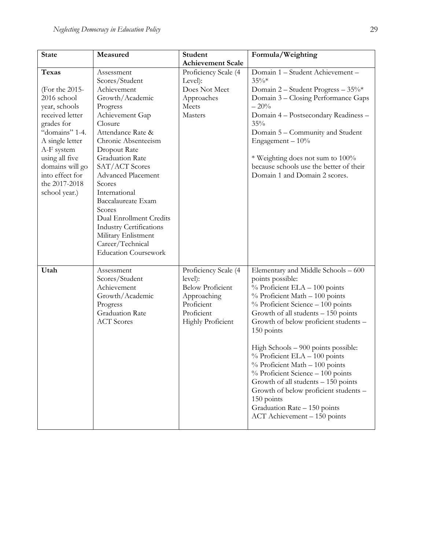| <b>State</b>    | Measured                                        | Student                  | Formula/Weighting                       |
|-----------------|-------------------------------------------------|--------------------------|-----------------------------------------|
|                 |                                                 | <b>Achievement Scale</b> |                                         |
| <b>Texas</b>    | Assessment                                      | Proficiency Scale (4     | Domain 1 - Student Achievement -        |
|                 | Scores/Student                                  | Level):                  | $35\%*$                                 |
| (For the 2015-  | Achievement                                     | Does Not Meet            | Domain 2 - Student Progress - 35%*      |
| 2016 school     | Growth/Academic                                 | Approaches               | Domain 3 - Closing Performance Gaps     |
| year, schools   | Progress                                        | Meets                    | $-20%$                                  |
| received letter | Achievement Gap                                 | Masters                  | Domain 4 - Postsecondary Readiness -    |
| grades for      | Closure                                         |                          | 35%                                     |
| "domains" 1-4.  | Attendance Rate &                               |                          | Domain 5 - Community and Student        |
| A single letter | Chronic Absenteeism                             |                          | Engagement $-10\%$                      |
| A-F system      | Dropout Rate                                    |                          |                                         |
| using all five  | <b>Graduation Rate</b>                          |                          | * Weighting does not sum to 100%        |
| domains will go | SAT/ACT Scores                                  |                          | because schools use the better of their |
| into effect for | <b>Advanced Placement</b>                       |                          | Domain 1 and Domain 2 scores.           |
| the 2017-2018   | Scores                                          |                          |                                         |
| school year.)   | International                                   |                          |                                         |
|                 | Baccalaureate Exam                              |                          |                                         |
|                 | Scores                                          |                          |                                         |
|                 | Dual Enrollment Credits                         |                          |                                         |
|                 | <b>Industry Certifications</b>                  |                          |                                         |
|                 | Military Enlistment                             |                          |                                         |
|                 | Career/Technical<br><b>Education Coursework</b> |                          |                                         |
|                 |                                                 |                          |                                         |
| Utah            | Assessment                                      | Proficiency Scale (4     | Elementary and Middle Schools - 600     |
|                 | Scores/Student                                  | level):                  | points possible:                        |
|                 | Achievement                                     | <b>Below Proficient</b>  | % Proficient ELA - 100 points           |
|                 | Growth/Academic                                 | Approaching              | $%$ Proficient Math $-100$ points       |
|                 | Progress                                        | Proficient               | $%$ Proficient Science $-100$ points    |
|                 | <b>Graduation Rate</b>                          | Proficient               | Growth of all students - 150 points     |
|                 | <b>ACT</b> Scores                               | <b>Highly Proficient</b> | Growth of below proficient students -   |
|                 |                                                 |                          | 150 points                              |
|                 |                                                 |                          |                                         |
|                 |                                                 |                          | High Schools - 900 points possible:     |
|                 |                                                 |                          | $%$ Proficient ELA $-100$ points        |
|                 |                                                 |                          | $%$ Proficient Math $-100$ points       |
|                 |                                                 |                          | $%$ Proficient Science $-100$ points    |
|                 |                                                 |                          | Growth of all students $-150$ points    |
|                 |                                                 |                          | Growth of below proficient students -   |
|                 |                                                 |                          | 150 points                              |
|                 |                                                 |                          | Graduation Rate - 150 points            |
|                 |                                                 |                          | ACT Achievement - 150 points            |
|                 |                                                 |                          |                                         |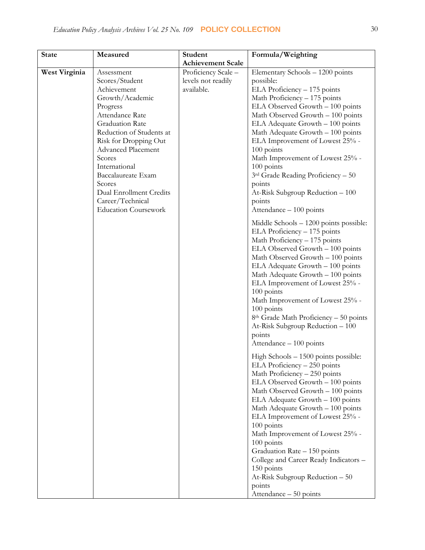| <b>State</b>  | Measured                    | <b>Student</b>           | Formula/Weighting                                                                                                                                                                                                                                                                                                                                                                                                                                                                                                        |
|---------------|-----------------------------|--------------------------|--------------------------------------------------------------------------------------------------------------------------------------------------------------------------------------------------------------------------------------------------------------------------------------------------------------------------------------------------------------------------------------------------------------------------------------------------------------------------------------------------------------------------|
|               |                             | <b>Achievement Scale</b> |                                                                                                                                                                                                                                                                                                                                                                                                                                                                                                                          |
| West Virginia | Assessment                  | Proficiency Scale -      | Elementary Schools - 1200 points                                                                                                                                                                                                                                                                                                                                                                                                                                                                                         |
|               | Scores/Student              | levels not readily       | possible:                                                                                                                                                                                                                                                                                                                                                                                                                                                                                                                |
|               | Achievement                 | available.               | ELA Proficiency - 175 points                                                                                                                                                                                                                                                                                                                                                                                                                                                                                             |
|               | Growth/Academic             |                          | Math Proficiency - 175 points                                                                                                                                                                                                                                                                                                                                                                                                                                                                                            |
|               | Progress                    |                          | ELA Observed Growth - 100 points                                                                                                                                                                                                                                                                                                                                                                                                                                                                                         |
|               | Attendance Rate             |                          | Math Observed Growth - 100 points                                                                                                                                                                                                                                                                                                                                                                                                                                                                                        |
|               | Graduation Rate             |                          | ELA Adequate Growth - 100 points                                                                                                                                                                                                                                                                                                                                                                                                                                                                                         |
|               | Reduction of Students at    |                          | Math Adequate Growth - 100 points                                                                                                                                                                                                                                                                                                                                                                                                                                                                                        |
|               | Risk for Dropping Out       |                          | ELA Improvement of Lowest 25% -                                                                                                                                                                                                                                                                                                                                                                                                                                                                                          |
|               | <b>Advanced Placement</b>   |                          | 100 points                                                                                                                                                                                                                                                                                                                                                                                                                                                                                                               |
|               | Scores                      |                          | Math Improvement of Lowest 25% -                                                                                                                                                                                                                                                                                                                                                                                                                                                                                         |
|               | International               |                          | 100 points                                                                                                                                                                                                                                                                                                                                                                                                                                                                                                               |
|               | Baccalaureate Exam          |                          | $3rd$ Grade Reading Proficiency - 50                                                                                                                                                                                                                                                                                                                                                                                                                                                                                     |
|               | Scores                      |                          | points                                                                                                                                                                                                                                                                                                                                                                                                                                                                                                                   |
|               | Dual Enrollment Credits     |                          | At-Risk Subgroup Reduction - 100                                                                                                                                                                                                                                                                                                                                                                                                                                                                                         |
|               | Career/Technical            |                          | points                                                                                                                                                                                                                                                                                                                                                                                                                                                                                                                   |
|               | <b>Education Coursework</b> |                          | Attendance - 100 points                                                                                                                                                                                                                                                                                                                                                                                                                                                                                                  |
|               |                             |                          | Middle Schools – 1200 points possible:<br>ELA Proficiency - 175 points<br>Math Proficiency - 175 points<br>ELA Observed Growth - 100 points<br>Math Observed Growth - 100 points                                                                                                                                                                                                                                                                                                                                         |
|               |                             |                          | ELA Adequate Growth - 100 points<br>Math Adequate Growth - 100 points<br>ELA Improvement of Lowest 25% -<br>100 points<br>Math Improvement of Lowest 25% -<br>100 points<br>8 <sup>th</sup> Grade Math Proficiency – 50 points<br>At-Risk Subgroup Reduction - 100<br>points<br>Attendance - 100 points                                                                                                                                                                                                                  |
|               |                             |                          | High Schools - 1500 points possible:<br>ELA Proficiency - 250 points<br>Math Proficiency - 250 points<br>ELA Observed Growth - 100 points<br>Math Observed Growth - 100 points<br>ELA Adequate Growth - 100 points<br>Math Adequate Growth - 100 points<br>ELA Improvement of Lowest 25% -<br>100 points<br>Math Improvement of Lowest 25% -<br>100 points<br>Graduation Rate - 150 points<br>College and Career Ready Indicators -<br>150 points<br>At-Risk Subgroup Reduction - 50<br>points<br>Attendance - 50 points |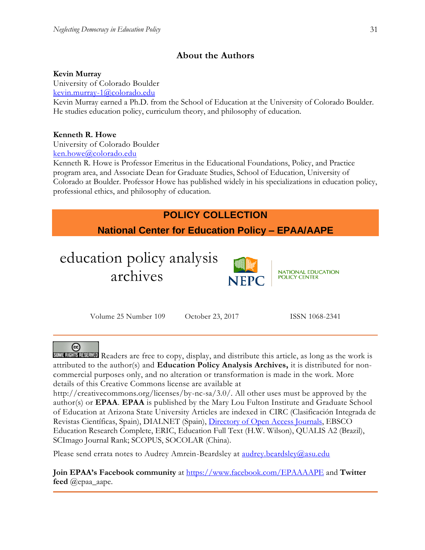# **About the Authors**

## **Kevin Murray**

University of Colorado Boulder

[kevin.murray-1@colorado.edu](mailto:kevin.murray-1@colorado.edu)

Kevin Murray earned a Ph.D. from the School of Education at the University of Colorado Boulder. He studies education policy, curriculum theory, and philosophy of education.

# **Kenneth R. Howe**

University of Colorado Boulder [ken.howe@colorado.edu](mailto:ken.howe@colorado.edu)

Kenneth R. Howe is Professor Emeritus in the Educational Foundations, Policy, and Practice program area, and Associate Dean for Graduate Studies, School of Education, University of Colorado at Boulder. Professor Howe has published widely in his specializations in education policy, professional ethics, and philosophy of education.



# ര

SOME RIGHTS RESERVED Readers are free to copy, display, and distribute this article, as long as the work is attributed to the author(s) and **Education Policy Analysis Archives,** it is distributed for noncommercial purposes only, and no alteration or transformation is made in the work. More details of this Creative Commons license are available at

http://creativecommons.org/licenses/by-nc-sa/3.0/. All other uses must be approved by the author(s) or **EPAA**. **EPAA** is published by the Mary Lou Fulton Institute and Graduate School of Education at Arizona State University Articles are indexed in CIRC (Clasificación Integrada de Revistas Científicas, Spain), DIALNET (Spain), [Directory of Open Access Journals,](http://www.doaj.org/) EBSCO Education Research Complete, ERIC, Education Full Text (H.W. Wilson), QUALIS A2 (Brazil), SCImago Journal Rank; SCOPUS, SOCOLAR (China).

Please send errata notes to Audrey Amrein-Beardsley at audrey.beardsley@asu.edu

**Join EPAA's Facebook community** at<https://www.facebook.com/EPAAAAPE> and **Twitter feed** @epaa\_aape.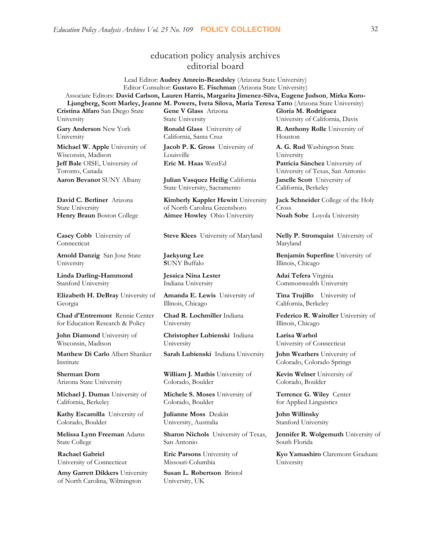# education policy analysis archives editorial board

Lead Editor: **Audrey Amrein-Beardsley** (Arizona State University) Editor Consultor: **Gustavo E. Fischman** (Arizona State University) Associate Editors: **David Carlson, Lauren Harris, Margarita Jimenez-Silva, Eugene Judson**, **Mirka Koro-Ljungberg, Scott Marley, Jeanne M. Powers, Iveta Silova, Maria Teresa Tatto** (Arizona State University)

**Cristina Alfaro** San Diego State University

**Gary Anderson** New York University

**Michael W. Apple** University of Wisconsin, Madison **Jeff Bale** OISE, University of Toronto, Canada

**David C. Berliner** Arizona State University

**Casey Cobb** University of Connecticut

**Arnold Danzig** San Jose State University

**Linda Darling-Hammond**  Stanford University

**Elizabeth H. DeBray** University of Georgia

**Chad d'Entremont** Rennie Center for Education Research & Policy

**John Diamond** University of Wisconsin, Madison

**Matthew Di Carlo** Albert Shanker Institute

**Sherman Dorn** Arizona State University

**Michael J. Dumas** University of California, Berkeley

**Kathy Escamilla** University of Colorado, Boulder

**Melissa Lynn Freeman** Adams State College

**Rachael Gabriel** University of Connecticut

**Amy Garrett Dikkers** University of North Carolina, Wilmington

**Gene V Glass** Arizona State University

**Ronald Glass** University of California, Santa Cruz

**Jacob P. K. Gross** University of Louisville

**Aaron Bevanot** SUNY Albany **Julian Vasquez Heilig** California State University, Sacramento

**Kimberly Kappler Hewitt** University of North Carolina Greensboro **Henry Braun** Boston College **Aimee Howley** Ohio University **Noah Sobe** Loyola University

**Jaekyung Lee S**UNY Buffalo

**Jessica Nina Lester** Indiana University

**Amanda E. Lewis** University of Illinois, Chicago

**Chad R. Lochmiller** Indiana University

**Christopher Lubienski** Indiana University

**Sarah Lubienski** Indiana University **John Weathers** University of

**William J. Mathis** University of Colorado, Boulder

**Michele S. Moses** University of Colorado, Boulder

**Julianne Moss** Deakin University, Australia

**Sharon Nichols** University of Texas, San Antonio

**Eric Parsons** University of Missouri-Columbia

**Susan L. Robertson** Bristol University, UK

**Gloria M. Rodriguez** University of California, Davis

**R. Anthony Rolle** University of Houston

**A. G. Rud** Washington State University **Eric M. Haas** WestEd **Patricia Sánchez** University of University of Texas, San Antonio **Janelle Scott** University of California, Berkeley

> **Jack Schneider** College of the Holy Cross

**Steve Klees** University of Maryland **Nelly P. Stromquist** University of Maryland

> **Benjamin Superfine** University of Illinois, Chicago

**Adai Tefera** Virginia Commonwealth University

**Tina Trujillo** University of California, Berkeley

**Federico R. Waitoller** University of Illinois, Chicago

**Larisa Warhol** University of Connecticut

Colorado, Colorado Springs

**Kevin Welner** University of Colorado, Boulder

**Terrence G. Wiley** Center for Applied Linguistics

**John Willinsky**  Stanford University

**Jennifer R. Wolgemuth** University of South Florida

**Kyo Yamashiro** Claremont Graduate University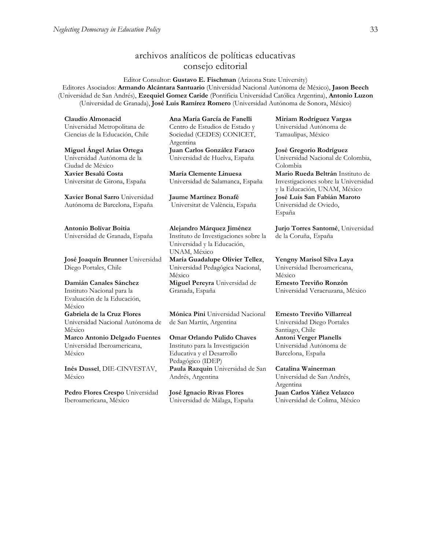# archivos analíticos de políticas educativas consejo editorial

Editor Consultor: **Gustavo E. Fischman** (Arizona State University) Editores Asociados: **Armando Alcántara Santuario** (Universidad Nacional Autónoma de México), **Jason Beech** (Universidad de San Andrés), **Ezequiel Gomez Caride** (Pontificia Universidad Católica Argentina), **Antonio Luzon** (Universidad de Granada), **José Luis Ramírez Romero** (Universidad Autónoma de Sonora, México)

**Claudio Almonacid** Universidad Metropolitana de Ciencias de la Educación, Chile

**Miguel Ángel Arias Ortega**  Universidad Autónoma de la Ciudad de México **Xavier Besalú Costa**  Universitat de Girona, España

**[Xavier Bonal](javascript:openRTWindow() Sarro** Universidad Autónoma de Barcelona, España

**[Antonio Bolívar](javascript:openRTWindow() Boitia** Universidad de Granada, España

**[José Joaquín Brunner](javascript:openRTWindow()** Universidad Diego Portales, Chile

**[Damián Canales Sánchez](javascript:openRTWindow()** Instituto Nacional para la Evaluación de la Educación, México

**Gabriela de la Cruz Flores** Universidad Nacional Autónoma de México **[Marco Antonio Delgado Fuentes](javascript:openRTWindow()** Universidad Iberoamericana, México

**[Inés Dussel](javascript:openRTWindow()**, DIE-CINVESTAV, México

**[Pedro Flores Crespo](javascript:openRTWindow()** Universidad Iberoamericana, México

**Ana María García de Fanelli**  Centro de Estudios de Estado y Sociedad (CEDES) CONICET, Argentina **Juan Carlos González Faraco**  Universidad de Huelva, España

**María Clemente Linuesa**  Universidad de Salamanca, España

**Jaume Martínez Bonafé** Universitat de València, España

**Alejandro Márquez Jiménez**  Instituto de Investigaciones sobre la Universidad y la Educación, UNAM, México **María Guadalupe Olivier Tellez**, Universidad Pedagógica Nacional, México **[Miguel Pereyra](javascript:openRTWindow()** Universidad de Granada, España

**[Mónica Pini](javascript:openRTWindow()** Universidad Nacional de San Martín, Argentina

**Omar Orlando Pulido Chaves** Instituto para la Investigación Educativa y el Desarrollo Pedagógico (IDEP) **[Paula Razquin](javascript:openRTWindow()** Universidad de San Andrés, Argentina

**José Ignacio Rivas Flores** Universidad de Málaga, España **[Miriam Rodríguez Vargas](javascript:openRTWindow()** Universidad Autónoma de Tamaulipas, México

**José Gregorio Rodríguez**  Universidad Nacional de Colombia, Colombia **[Mario Rueda Beltrán](javascript:openRTWindow()** Instituto de Investigaciones sobre la Universidad y la Educación, UNAM, México **José Luis San Fabián Maroto**  Universidad de Oviedo, España

**[Jurjo Torres Santomé](javascript:openRTWindow()**, Universidad de la Coruña, España

**[Yengny Marisol Silva Laya](javascript:openRTWindow()** Universidad Iberoamericana, México **Ernesto Treviño Ronzón** Universidad Veracruzana, México

**[Ernesto Treviño](javascript:openRTWindow() Villarreal** Universidad Diego Portales Santiago, Chile **[Antoni Verger Planells](javascript:openRTWindow()** Universidad Autónoma de Barcelona, España

**[Catalina Wainerman](javascript:openRTWindow()** Universidad de San Andrés, Argentina

**Juan Carlos Yáñez Velazco** Universidad de Colima, México